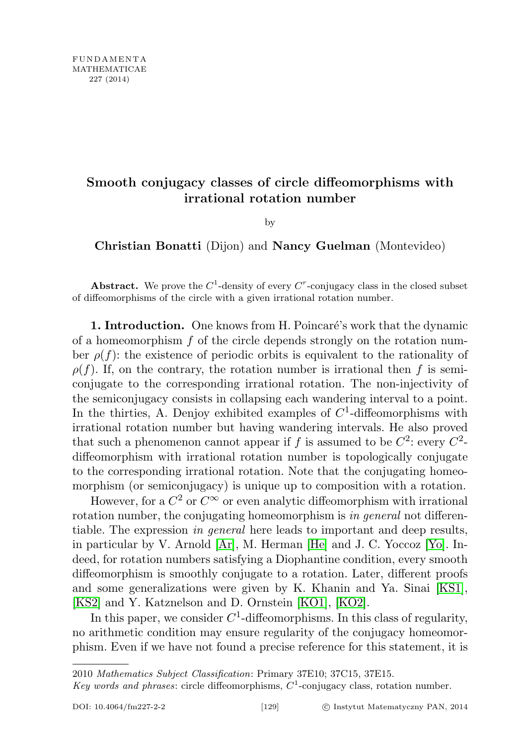# Smooth conjugacy classes of circle diffeomorphisms with irrational rotation number

by

Christian Bonatti (Dijon) and Nancy Guelman (Montevideo)

Abstract. We prove the  $C^1$ -density of every  $C^r$ -conjugacy class in the closed subset of diffeomorphisms of the circle with a given irrational rotation number.

1. Introduction. One knows from H. Poincaré's work that the dynamic of a homeomorphism  $f$  of the circle depends strongly on the rotation number  $\rho(f)$ : the existence of periodic orbits is equivalent to the rationality of  $\rho(f)$ . If, on the contrary, the rotation number is irrational then f is semiconjugate to the corresponding irrational rotation. The non-injectivity of the semiconjugacy consists in collapsing each wandering interval to a point. In the thirties, A. Denjoy exhibited examples of  $C<sup>1</sup>$ -diffeomorphisms with irrational rotation number but having wandering intervals. He also proved that such a phenomenon cannot appear if f is assumed to be  $C^2$ : every  $C^2$ diffeomorphism with irrational rotation number is topologically conjugate to the corresponding irrational rotation. Note that the conjugating homeomorphism (or semiconjugacy) is unique up to composition with a rotation.

However, for a  $C^2$  or  $C^{\infty}$  or even analytic diffeomorphism with irrational rotation number, the conjugating homeomorphism is in general not differentiable. The expression in general here leads to important and deep results, in particular by V. Arnold [\[Ar\]](#page-32-0), M. Herman [\[He\]](#page-32-1) and J. C. Yoccoz [\[Yo\]](#page-33-0). Indeed, for rotation numbers satisfying a Diophantine condition, every smooth diffeomorphism is smoothly conjugate to a rotation. Later, different proofs and some generalizations were given by K. Khanin and Ya. Sinai [\[KS1\]](#page-33-1), [\[KS2\]](#page-33-2) and Y. Katznelson and D. Ornstein [\[KO1\]](#page-33-3), [\[KO2\]](#page-33-4).

In this paper, we consider  $C^1$ -diffeomorphisms. In this class of regularity, no arithmetic condition may ensure regularity of the conjugacy homeomorphism. Even if we have not found a precise reference for this statement, it is

<sup>2010</sup> Mathematics Subject Classification: Primary 37E10; 37C15, 37E15.

Key words and phrases: circle diffeomorphisms,  $C^1$ -conjugacy class, rotation number.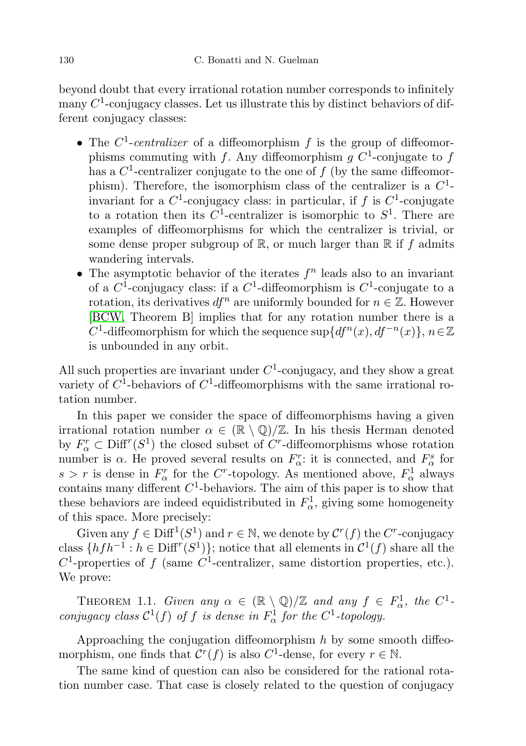beyond doubt that every irrational rotation number corresponds to infinitely many  $C^1$ -conjugacy classes. Let us illustrate this by distinct behaviors of different conjugacy classes:

- The  $C^1$ -centralizer of a diffeomorphism f is the group of diffeomorphisms commuting with f. Any diffeomorphism g  $C^1$ -conjugate to f has a  $C^1$ -centralizer conjugate to the one of  $f$  (by the same diffeomorphism). Therefore, the isomorphism class of the centralizer is a  $C^1$ invariant for a  $C^1$ -conjugacy class: in particular, if f is  $C^1$ -conjugate to a rotation then its  $C^1$ -centralizer is isomorphic to  $S^1$ . There are examples of diffeomorphisms for which the centralizer is trivial, or some dense proper subgroup of  $\mathbb{R}$ , or much larger than  $\mathbb{R}$  if f admits wandering intervals.
- The asymptotic behavior of the iterates  $f<sup>n</sup>$  leads also to an invariant of a  $C^1$ -conjugacy class: if a  $C^1$ -diffeomorphism is  $C^1$ -conjugate to a rotation, its derivatives  $df^n$  are uniformly bounded for  $n \in \mathbb{Z}$ . However [\[BCW,](#page-32-2) Theorem B] implies that for any rotation number there is a C<sup>1</sup>-diffeomorphism for which the sequence sup  $\{df^n(x), df^{-n}(x)\}, n \in \mathbb{Z}$ is unbounded in any orbit.

All such properties are invariant under  $C<sup>1</sup>$ -conjugacy, and they show a great variety of  $C^1$ -behaviors of  $C^1$ -diffeomorphisms with the same irrational rotation number.

In this paper we consider the space of diffeomorphisms having a given irrational rotation number  $\alpha \in (\mathbb{R} \setminus \mathbb{Q})/\mathbb{Z}$ . In his thesis Herman denoted by  $F_{\alpha}^r \subset \text{Diff}^r(S^1)$  the closed subset of  $C^r$ -diffeomorphisms whose rotation number is  $\alpha$ . He proved several results on  $F_{\alpha}^r$ : it is connected, and  $F_{\alpha}^s$  for  $s > r$  is dense in  $F^r_\alpha$  for the C<sup>*r*</sup>-topology. As mentioned above,  $F^1_\alpha$  always contains many different  $C<sup>1</sup>$ -behaviors. The aim of this paper is to show that these behaviors are indeed equidistributed in  $F_{\alpha}^1$ , giving some homogeneity of this space. More precisely:

Given any  $f \in \text{Diff}^1(S^1)$  and  $r \in \mathbb{N}$ , we denote by  $\mathcal{C}^r(f)$  the  $C^r$ -conjugacy class  $\{hfh^{-1}: h \in \text{Diff}^r(S^1)\}\;$  notice that all elements in  $\mathcal{C}^1(f)$  share all the  $C^1$ -properties of f (same  $C^1$ -centralizer, same distortion properties, etc.). We prove:

<span id="page-1-0"></span>THEOREM 1.1. Given any  $\alpha \in (\mathbb{R} \setminus \mathbb{Q})/\mathbb{Z}$  and any  $f \in F^1_\alpha$ , the  $C^1$ conjugacy class  $C^1(f)$  of f is dense in  $F^1_\alpha$  for the  $C^1$ -topology.

Approaching the conjugation diffeomorphism  $h$  by some smooth diffeomorphism, one finds that  $\mathcal{C}^r(f)$  is also  $C^1$ -dense, for every  $r \in \mathbb{N}$ .

The same kind of question can also be considered for the rational rotation number case. That case is closely related to the question of conjugacy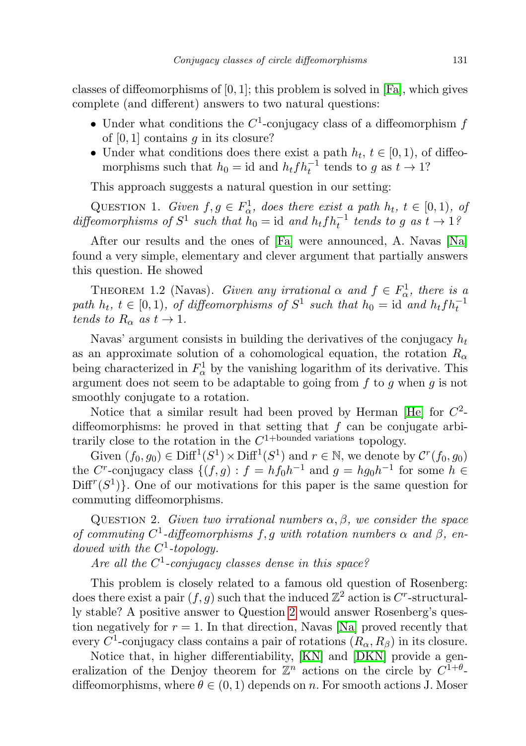classes of diffeomorphisms of  $[0, 1]$ ; this problem is solved in [\[Fa\]](#page-32-3), which gives complete (and different) answers to two natural questions:

- Under what conditions the  $C^1$ -conjugacy class of a diffeomorphism f of  $[0, 1]$  contains q in its closure?
- Under what conditions does there exist a path  $h_t$ ,  $t \in [0, 1)$ , of diffeomorphisms such that  $h_0 = id$  and  $h_t f h_t^{-1}$  tends to g as  $t \to 1$ ?

This approach suggests a natural question in our setting:

QUESTION 1. Given  $f, g \in F_{\alpha}^1$ , does there exist a path  $h_t, t \in [0, 1)$ , of diffeomorphisms of  $S^1$  such that  $\tilde{h}_0 = id$  and  $h_t f h_t^{-1}$  tends to g as  $t \to 1$ ?

After our results and the ones of [\[Fa\]](#page-32-3) were announced, A. Navas [\[Na\]](#page-33-5) found a very simple, elementary and clever argument that partially answers this question. He showed

THEOREM 1.2 (Navas). Given any irrational  $\alpha$  and  $f \in F_{\alpha}^1$ , there is a path  $h_t$ ,  $t \in [0,1)$ , of diffeomorphisms of  $S^1$  such that  $h_0 = id$  and  $h_t f h_t^{-1}$ tends to  $R_{\alpha}$  as  $t \to 1$ .

Navas' argument consists in building the derivatives of the conjugacy  $h_t$ as an approximate solution of a cohomological equation, the rotation  $R_{\alpha}$ being characterized in  $F^1_\alpha$  by the vanishing logarithm of its derivative. This argument does not seem to be adaptable to going from  $f$  to  $g$  when  $g$  is not smoothly conjugate to a rotation.

Notice that a similar result had been proved by Herman [\[He\]](#page-32-1) for  $C^2$ diffeomorphisms: he proved in that setting that  $f$  can be conjugate arbitrarily close to the rotation in the  $C^{1+\text{bounded variations}}$  topology.

Given  $(f_0, g_0) \in \text{Diff}^1(S^1) \times \text{Diff}^1(S^1)$  and  $r \in \mathbb{N}$ , we denote by  $\mathcal{C}^r(f_0, g_0)$ the C<sup>r</sup>-conjugacy class  $\{(f,g) : f = hf_0h^{-1}$  and  $g = hg_0h^{-1}$  for some  $h \in$  $Diff^{r}(S^{1})$ . One of our motivations for this paper is the same question for commuting diffeomorphisms.

<span id="page-2-0"></span>QUESTION 2. Given two irrational numbers  $\alpha, \beta$ , we consider the space of commuting  $C^1$ -diffeomorphisms f, g with rotation numbers  $\alpha$  and  $\beta$ , endowed with the  $C^1$ -topology.

Are all the  $C^1$ -conjugacy classes dense in this space?

This problem is closely related to a famous old question of Rosenberg: does there exist a pair  $(f, g)$  such that the induced  $\mathbb{Z}^2$  action is C<sup>r</sup>-structurally stable? A positive answer to Question [2](#page-2-0) would answer Rosenberg's question negatively for  $r = 1$ . In that direction, Navas [\[Na\]](#page-33-5) proved recently that every  $C^1$ -conjugacy class contains a pair of rotations  $(R_\alpha, R_\beta)$  in its closure.

Notice that, in higher differentiability, [\[KN\]](#page-33-6) and [\[DKN\]](#page-32-4) provide a generalization of the Denjoy theorem for  $\mathbb{Z}^n$  actions on the circle by  $C^{1+\theta}$ diffeomorphisms, where  $\theta \in (0,1)$  depends on n. For smooth actions J. Moser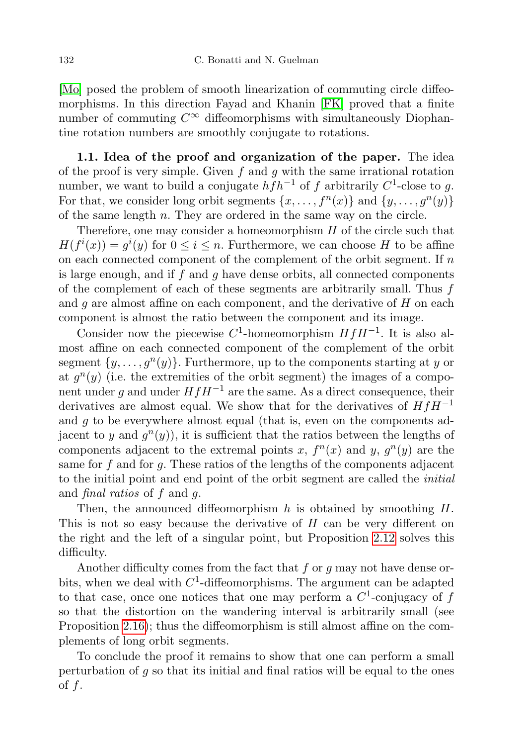[\[Mo\]](#page-33-7) posed the problem of smooth linearization of commuting circle diffeomorphisms. In this direction Fayad and Khanin [\[FK\]](#page-32-5) proved that a finite number of commuting  $C^{\infty}$  diffeomorphisms with simultaneously Diophantine rotation numbers are smoothly conjugate to rotations.

1.1. Idea of the proof and organization of the paper. The idea of the proof is very simple. Given f and g with the same irrational rotation number, we want to build a conjugate  $h f h^{-1}$  of f arbitrarily  $C^1$ -close to g. For that, we consider long orbit segments  $\{x, \ldots, f^n(x)\}\$  and  $\{y, \ldots, g^n(y)\}\$ of the same length  $n$ . They are ordered in the same way on the circle.

Therefore, one may consider a homeomorphism  $H$  of the circle such that  $H(f^{i}(x)) = g^{i}(y)$  for  $0 \leq i \leq n$ . Furthermore, we can choose H to be affine on each connected component of the complement of the orbit segment. If  $n$ is large enough, and if  $f$  and  $g$  have dense orbits, all connected components of the complement of each of these segments are arbitrarily small. Thus  $f$ and  $q$  are almost affine on each component, and the derivative of  $H$  on each component is almost the ratio between the component and its image.

Consider now the piecewise  $C^1$ -homeomorphism  $HfH^{-1}$ . It is also almost affine on each connected component of the complement of the orbit segment  $\{y, \ldots, g^{n}(y)\}\$ . Furthermore, up to the components starting at y or at  $g^{n}(y)$  (i.e. the extremities of the orbit segment) the images of a component under q and under  $HfH^{-1}$  are the same. As a direct consequence, their derivatives are almost equal. We show that for the derivatives of  $HfH^{-1}$ and  $g$  to be everywhere almost equal (that is, even on the components adjacent to y and  $g<sup>n</sup>(y)$ , it is sufficient that the ratios between the lengths of components adjacent to the extremal points x,  $f^{n}(x)$  and y,  $g^{n}(y)$  are the same for f and for g. These ratios of the lengths of the components adjacent to the initial point and end point of the orbit segment are called the initial and final ratios of f and g.

Then, the announced diffeomorphism  $h$  is obtained by smoothing  $H$ . This is not so easy because the derivative of H can be very different on the right and the left of a singular point, but Proposition [2.12](#page-10-0) solves this difficulty.

Another difficulty comes from the fact that  $f$  or  $g$  may not have dense orbits, when we deal with  $C^1$ -diffeomorphisms. The argument can be adapted to that case, once one notices that one may perform a  $C^1$ -conjugacy of f so that the distortion on the wandering interval is arbitrarily small (see Proposition [2.16\)](#page-16-0); thus the diffeomorphism is still almost affine on the complements of long orbit segments.

To conclude the proof it remains to show that one can perform a small perturbation of  $q$  so that its initial and final ratios will be equal to the ones of  $f$ .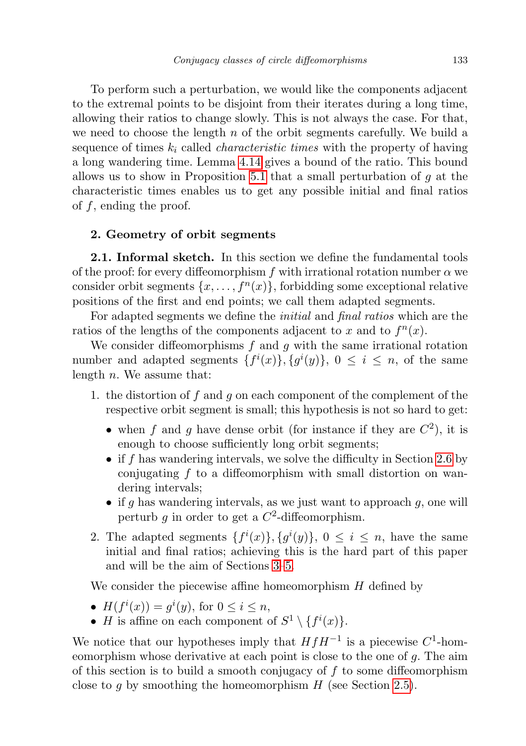To perform such a perturbation, we would like the components adjacent to the extremal points to be disjoint from their iterates during a long time, allowing their ratios to change slowly. This is not always the case. For that, we need to choose the length  $n$  of the orbit segments carefully. We build a sequence of times  $k_i$  called *characteristic times* with the property of having a long wandering time. Lemma [4.14](#page-28-0) gives a bound of the ratio. This bound allows us to show in Proposition [5.1](#page-29-0) that a small perturbation of  $q$  at the characteristic times enables us to get any possible initial and final ratios of  $f$ , ending the proof.

### <span id="page-4-0"></span>2. Geometry of orbit segments

**2.1. Informal sketch.** In this section we define the fundamental tools of the proof: for every diffeomorphism f with irrational rotation number  $\alpha$  we consider orbit segments  $\{x, \ldots, f^{(n)}\}$ , forbidding some exceptional relative positions of the first and end points; we call them adapted segments.

For adapted segments we define the initial and final ratios which are the ratios of the lengths of the components adjacent to x and to  $f^{n}(x)$ .

We consider diffeomorphisms  $f$  and  $g$  with the same irrational rotation number and adapted segments  $\{f^i(x)\}, \{g^i(y)\}, 0 \leq i \leq n$ , of the same length  $n$ . We assume that:

- 1. the distortion of f and g on each component of the complement of the respective orbit segment is small; this hypothesis is not so hard to get:
	- when f and g have dense orbit (for instance if they are  $C^2$ ), it is enough to choose sufficiently long orbit segments;
	- if f has wandering intervals, we solve the difficulty in Section [2.6](#page-16-1) by conjugating  $f$  to a diffeomorphism with small distortion on wandering intervals;
	- if g has wandering intervals, as we just want to approach  $g$ , one will perturb  $g$  in order to get a  $C^2$ -diffeomorphism.
- 2. The adapted segments  $\{f^i(x)\}, \{g^i(y)\}, 0 \leq i \leq n$ , have the same initial and final ratios; achieving this is the hard part of this paper and will be the aim of Sections [3–](#page-21-0)[5.](#page-28-1)

We consider the piecewise affine homeomorphism  $H$  defined by

- $H(f^{i}(x)) = g^{i}(y)$ , for  $0 \leq i \leq n$ ,
- *H* is affine on each component of  $S^1 \setminus \{f^i(x)\}.$

We notice that our hypotheses imply that  $HfH^{-1}$  is a piecewise  $C^1$ -homeomorphism whose derivative at each point is close to the one of g. The aim of this section is to build a smooth conjugacy of  $f$  to some diffeomorphism close to g by smoothing the homeomorphism  $H$  (see Section [2.5\)](#page-12-0).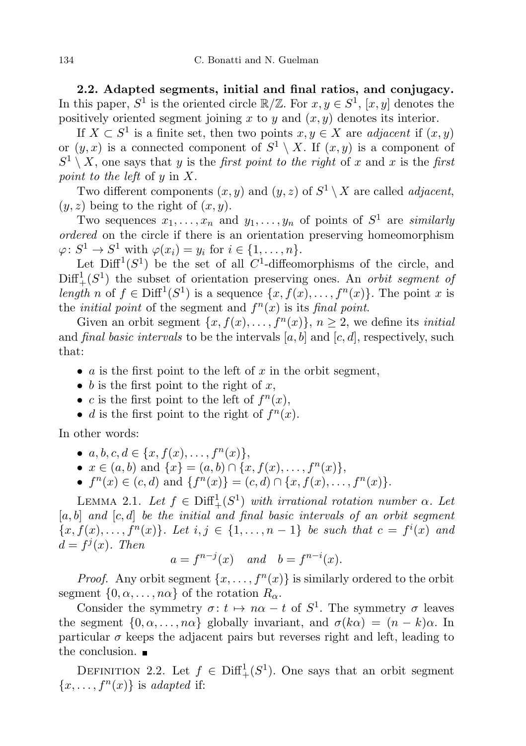2.2. Adapted segments, initial and final ratios, and conjugacy. In this paper,  $S^1$  is the oriented circle  $\mathbb{R}/\mathbb{Z}$ . For  $x, y \in S^1$ ,  $[x, y]$  denotes the positively oriented segment joining x to y and  $(x, y)$  denotes its interior.

If  $X \subset S^1$  is a finite set, then two points  $x, y \in X$  are *adjacent* if  $(x, y)$ or  $(y, x)$  is a connected component of  $S^1 \setminus X$ . If  $(x, y)$  is a component of  $S^1 \setminus X$ , one says that y is the *first point to the right* of x and x is the *first* point to the left of y in X.

Two different components  $(x, y)$  and  $(y, z)$  of  $S^1 \setminus X$  are called *adjacent*,  $(y, z)$  being to the right of  $(x, y)$ .

Two sequences  $x_1, \ldots, x_n$  and  $y_1, \ldots, y_n$  of points of  $S^1$  are *similarly* ordered on the circle if there is an orientation preserving homeomorphism  $\varphi: S^1 \to S^1$  with  $\varphi(x_i) = y_i$  for  $i \in \{1, \ldots, n\}.$ 

Let  $\text{Diff}^1(S^1)$  be the set of all C<sup>1</sup>-diffeomorphisms of the circle, and  $\text{Diff}^1_+(S^1)$  the subset of orientation preserving ones. An *orbit segment of* length n of  $f \in \text{Diff}^1(S^1)$  is a sequence  $\{x, f(x), \ldots, f^n(x)\}\)$ . The point x is the *initial point* of the segment and  $f^{(n)}(x)$  is its *final point*.

Given an orbit segment  $\{x, f(x), \ldots, f^{n}(x)\}, n \geq 2$ , we define its *initial* and final basic intervals to be the intervals  $[a, b]$  and  $[c, d]$ , respectively, such that:

- a is the first point to the left of x in the orbit segment,
- b is the first point to the right of  $x$ ,
- c is the first point to the left of  $f^{n}(x)$ ,
- *d* is the first point to the right of  $f^{n}(x)$ .

In other words:

•  $a, b, c, d \in \{x, f(x), \ldots, f^{n}(x)\},\$ 

•  $x \in (a, b)$  and  $\{x\} = (a, b) \cap \{x, f(x), \ldots, f^{n}(x)\},\$ 

•  $f^{n}(x) \in (c, d)$  and  $\{f^{n}(x)\} = (c, d) \cap \{x, f(x), \ldots, f^{n}(x)\}.$ 

<span id="page-5-0"></span>LEMMA 2.1. Let  $f \in \text{Diff}^1_+(S^1)$  with irrational rotation number  $\alpha$ . Let  $[a, b]$  and  $[c, d]$  be the initial and final basic intervals of an orbit segment  $\{x, f(x), \ldots, f^{n}(x)\}\)$ . Let  $i, j \in \{1, \ldots, n-1\}$  be such that  $c = f^{i}(x)$  and  $d = f^j(x)$ . Then

$$
a = f^{n-j}(x) \quad and \quad b = f^{n-i}(x).
$$

*Proof.* Any orbit segment  $\{x, \ldots, f^{(n)}(x)\}$  is similarly ordered to the orbit segment  $\{0, \alpha, \ldots, n\alpha\}$  of the rotation  $R_{\alpha}$ .

Consider the symmetry  $\sigma: t \mapsto n\alpha - t$  of  $S^1$ . The symmetry  $\sigma$  leaves the segment  $\{0, \alpha, \ldots, n\alpha\}$  globally invariant, and  $\sigma(k\alpha) = (n - k)\alpha$ . In particular  $\sigma$  keeps the adjacent pairs but reverses right and left, leading to the conclusion.

DEFINITION 2.2. Let  $f \in \text{Diff}^1_+(S^1)$ . One says that an orbit segment  $\{x, \ldots, f^{n}(x)\}\$ is adapted if: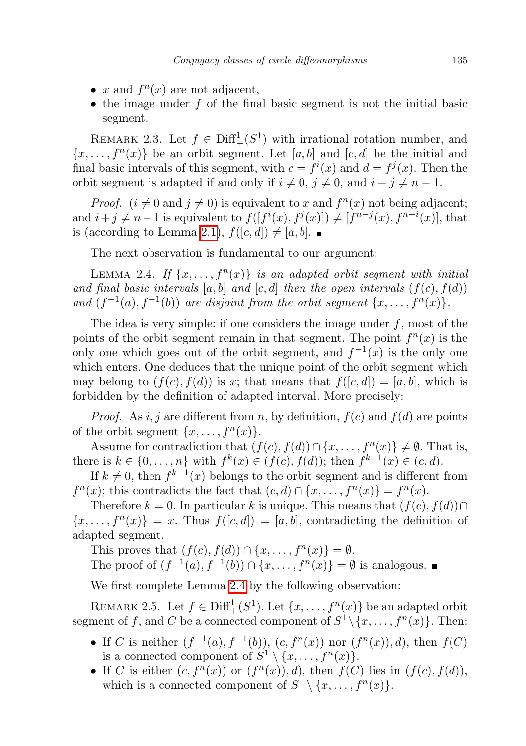- x and  $f^{n}(x)$  are not adjacent,
- the image under  $f$  of the final basic segment is not the initial basic segment.

<span id="page-6-2"></span>REMARK 2.3. Let  $f \in \text{Diff}^1_+(S^1)$  with irrational rotation number, and  $\{x, \ldots, f^{n}(x)\}\$ be an orbit segment. Let  $[a, b]$  and  $[c, d]$  be the initial and final basic intervals of this segment, with  $c = f^i(x)$  and  $d = f^j(x)$ . Then the orbit segment is adapted if and only if  $i \neq 0$ ,  $j \neq 0$ , and  $i + j \neq n - 1$ .

*Proof.*  $(i \neq 0 \text{ and } j \neq 0)$  is equivalent to x and  $f^{n}(x)$  not being adjacent; and  $i + j \neq n-1$  is equivalent to  $f([f^i(x), f^j(x)]) \neq [f^{n-j}(x), f^{n-i}(x)]$ , that is (according to Lemma [2.1\)](#page-5-0),  $f([c, d]) \neq [a, b]$ .

The next observation is fundamental to our argument:

<span id="page-6-0"></span>LEMMA 2.4. If  $\{x, \ldots, f^{n}(x)\}\$ is an adapted orbit segment with initial and final basic intervals  $[a, b]$  and  $[c, d]$  then the open intervals  $(f(c), f(d))$ and  $(f^{-1}(a), f^{-1}(b))$  are disjoint from the orbit segment  $\{x, \ldots, f^{n}(x)\}.$ 

The idea is very simple: if one considers the image under  $f$ , most of the points of the orbit segment remain in that segment. The point  $f^{n}(x)$  is the only one which goes out of the orbit segment, and  $f^{-1}(x)$  is the only one which enters. One deduces that the unique point of the orbit segment which may belong to  $(f(c), f(d))$  is x; that means that  $f([c, d]) = [a, b]$ , which is forbidden by the definition of adapted interval. More precisely:

*Proof.* As i, j are different from n, by definition,  $f(c)$  and  $f(d)$  are points of the orbit segment  $\{x, \ldots, f^n(x)\}.$ 

Assume for contradiction that  $(f(c), f(d)) \cap \{x, \ldots, f^{n}(x)\} \neq \emptyset$ . That is, there is  $k \in \{0, ..., n\}$  with  $f^{k}(x) \in (f(c), f(d))$ ; then  $f^{k-1}(x) \in (c, d)$ .

If  $k \neq 0$ , then  $f^{k-1}(x)$  belongs to the orbit segment and is different from  $f^{n}(x)$ ; this contradicts the fact that  $(c, d) \cap \{x, \ldots, f^{n}(x)\} = f^{n}(x)$ .

Therefore  $k = 0$ . In particular k is unique. This means that  $(f(c), f(d)) \cap$  $\{x, \ldots, f^{n}(x)\} = x$ . Thus  $f([c, d]) = [a, b]$ , contradicting the definition of adapted segment.

This proves that  $(f(c), f(d)) \cap \{x, \ldots, f^{n}(x)\} = \emptyset$ . The proof of  $(f^{-1}(a), f^{-1}(b)) \cap \{x, \ldots, f^{n}(x)\} = \emptyset$  is analogous.

We first complete Lemma [2.4](#page-6-0) by the following observation:

<span id="page-6-1"></span>REMARK 2.5. Let  $f \in \text{Diff}^1_+(S^1)$ . Let  $\{x, \ldots, f^n(x)\}$  be an adapted orbit segment of f, and C be a connected component of  $S^1 \setminus \{x, \ldots, f^n(x)\}$ . Then:

- If C is neither  $(f^{-1}(a), f^{-1}(b)), (c, f^{n}(x))$  nor  $(f^{n}(x)), d$ , then  $f(C)$ is a connected component of  $S^1 \setminus \{x, \ldots, f^n(x)\}.$
- If C is either  $(c, f^{n}(x))$  or  $(f^{n}(x)), d$ , then  $f(C)$  lies in  $(f(c), f(d))$ , which is a connected component of  $S^1 \setminus \{x, \ldots, f^n(x)\}.$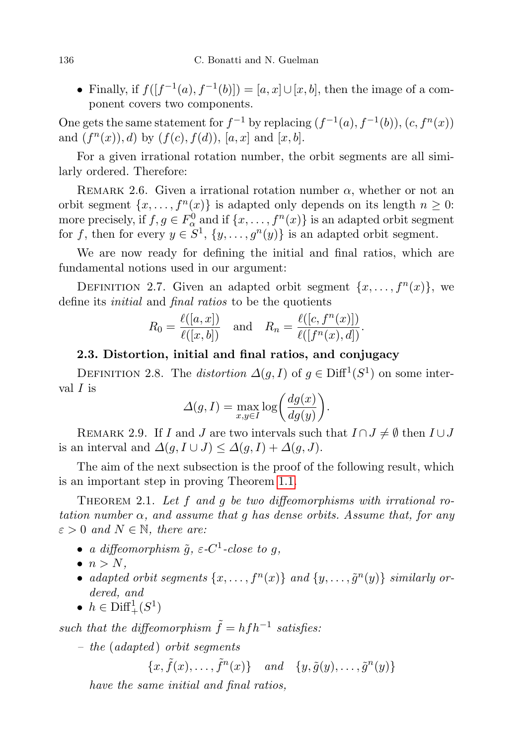• Finally, if  $f([f^{-1}(a), f^{-1}(b)]) = [a, x] \cup [x, b]$ , then the image of a component covers two components.

One gets the same statement for  $f^{-1}$  by replacing  $(f^{-1}(a), f^{-1}(b)), (c, f^{n}(x))$ and  $(f^{n}(x)), d$  by  $(f(c), f(d)), [a, x]$  and  $[x, b]$ .

For a given irrational rotation number, the orbit segments are all similarly ordered. Therefore:

REMARK 2.6. Given a irrational rotation number  $\alpha$ , whether or not an orbit segment  $\{x, \ldots, f^{n}(x)\}\$ is adapted only depends on its length  $n \geq 0$ : more precisely, if  $f, g \in F_\alpha^0$  and if  $\{x, \ldots, f^n(x)\}$  is an adapted orbit segment for f, then for every  $y \in S^1$ ,  $\{y, \ldots, g^n(y)\}$  is an adapted orbit segment.

We are now ready for defining the initial and final ratios, which are fundamental notions used in our argument:

DEFINITION 2.7. Given an adapted orbit segment  $\{x, \ldots, f^{(n)}(x)\}$ , we define its initial and final ratios to be the quotients

$$
R_0 = \frac{\ell([a, x])}{\ell([x, b])} \quad \text{and} \quad R_n = \frac{\ell([c, f^n(x)])}{\ell([f^n(x), d])}.
$$

## 2.3. Distortion, initial and final ratios, and conjugacy

DEFINITION 2.8. The *distortion*  $\Delta(g, I)$  of  $g \in \text{Diff}^1(S^1)$  on some interval  $I$  is

$$
\Delta(g, I) = \max_{x, y \in I} \log \left( \frac{dg(x)}{dg(y)} \right).
$$

REMARK 2.9. If I and J are two intervals such that  $I \cap J \neq \emptyset$  then  $I \cup J$ is an interval and  $\Delta(g, I \cup J) \leq \Delta(g, I) + \Delta(g, J)$ .

The aim of the next subsection is the proof of the following result, which is an important step in proving Theorem [1.1.](#page-1-0)

<span id="page-7-0"></span>THEOREM 2.1. Let  $f$  and  $g$  be two diffeomorphisms with irrational rotation number  $\alpha$ , and assume that g has dense orbits. Assume that, for any  $\varepsilon > 0$  and  $N \in \mathbb{N}$ , there are:

- a diffeomorphism  $\tilde{g}$ ,  $\varepsilon$ -C<sup>1</sup>-close to g,
- $\bullet$   $n > N$ .
- adapted orbit segments  $\{x, \ldots, f^n(x)\}$  and  $\{y, \ldots, \tilde{g}^n(y)\}$  similarly ordered, and
- $h \in \text{Diff}^1_+(S^1)$

such that the diffeomorphism  $\tilde{f} = h f h^{-1}$  satisfies:

 $-$  the (adapted) orbit segments

 $\{x, \tilde{f}(x), \ldots, \tilde{f}^n(x)\}$  and  $\{y, \tilde{g}(y), \ldots, \tilde{g}^n(y)\}$ 

have the same initial and final ratios,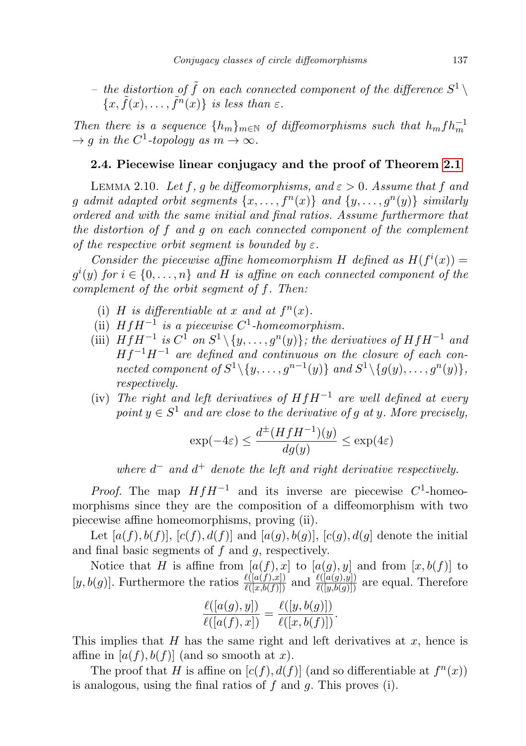– the distortion of  $\tilde{f}$  on each connected component of the difference  $S^1 \setminus$  ${x, \tilde{f}(x), \ldots, \tilde{f}^n(x)}$  is less than  $\varepsilon$ .

Then there is a sequence  $\{h_m\}_{m\in\mathbb{N}}$  of diffeomorphisms such that  $h_m f h_m^{-1}$  $\rightarrow g$  in the C<sup>1</sup>-topology as  $m \rightarrow \infty$ .

### 2.4. Piecewise linear conjugacy and the proof of Theorem [2.1](#page-7-0)

<span id="page-8-0"></span>LEMMA 2.10. Let f, g be diffeomorphisms, and  $\varepsilon > 0$ . Assume that f and g admit adapted orbit segments  $\{x, \ldots, f^n(x)\}$  and  $\{y, \ldots, g^n(y)\}$  similarly ordered and with the same initial and final ratios. Assume furthermore that the distortion of f and g on each connected component of the complement of the respective orbit segment is bounded by  $\varepsilon$ .

Consider the piecewise affine homeomorphism H defined as  $H(f^{i}(x)) =$  $g^i(y)$  for  $i \in \{0, \ldots, n\}$  and H is affine on each connected component of the complement of the orbit segment of f. Then:

- (i) H is differentiable at x and at  $f^{n}(x)$ .
- (ii)  $HfH^{-1}$  is a piecewise  $C^1$ -homeomorphism.
- (iii)  $HfH^{-1}$  is  $C^1$  on  $S^1 \setminus \{y, \ldots, g^n(y)\}$ ; the derivatives of  $HfH^{-1}$  and  $Hf^{-1}H^{-1}$  are defined and continuous on the closure of each connected component of  $S^1 \setminus \{y, \ldots, g^{n-1}(y)\}$  and  $S^1 \setminus \{g(y), \ldots, g^{n}(y)\},$ respectively.
- (iv) The right and left derivatives of  $HfH^{-1}$  are well defined at every point  $y \in S^1$  and are close to the derivative of g at y. More precisely,

$$
\exp(-4\varepsilon) \le \frac{d^{\pm}(HfH^{-1})(y)}{dg(y)} \le \exp(4\varepsilon)
$$

where  $d^-$  and  $d^+$  denote the left and right derivative respectively.

*Proof.* The map  $HfH^{-1}$  and its inverse are piecewise  $C^1$ -homeomorphisms since they are the composition of a diffeomorphism with two piecewise affine homeomorphisms, proving (ii).

Let  $[a(f), b(f)], [c(f), d(f)]$  and  $[a(g), b(g)], [c(g), d(g)]$  denote the initial and final basic segments of  $f$  and  $g$ , respectively.

Notice that H is affine from  $[a(f),x]$  to  $[a(g),y]$  and from  $[x,b(f)]$  to  $[y, b(g)]$ . Furthermore the ratios  $\frac{\ell([a(f),x])}{\ell([x,b(f)])}$  and  $\frac{\ell([a(g),y])}{\ell([y,b(g)])}$  are equal. Therefore

$$
\frac{\ell([a(g),y])}{\ell([a(f),x])} = \frac{\ell([y,b(g)])}{\ell([x,b(f)])}.
$$

This implies that  $H$  has the same right and left derivatives at  $x$ , hence is affine in  $[a(f), b(f)]$  (and so smooth at x).

The proof that H is affine on  $[c(f), d(f)]$  (and so differentiable at  $f^{(n)}(x)$ ) is analogous, using the final ratios of  $f$  and  $g$ . This proves (i).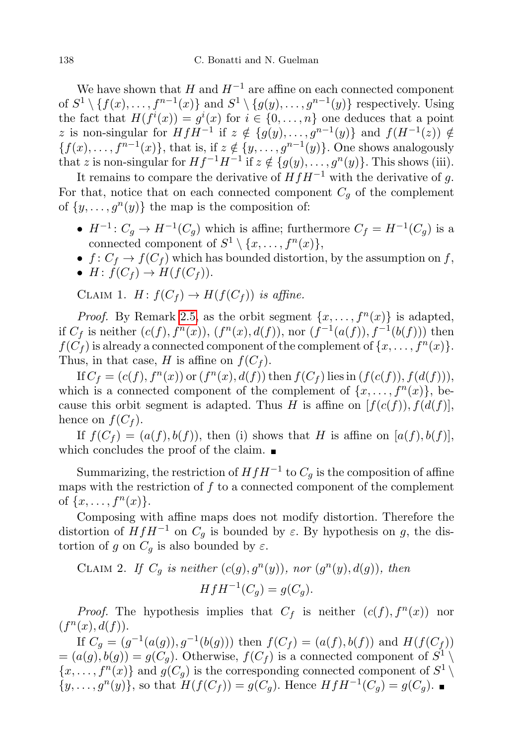We have shown that H and  $H^{-1}$  are affine on each connected component of  $S^1 \setminus \{f(x), \ldots, f^{n-1}(x)\}\$ and  $S^1 \setminus \{g(y), \ldots, g^{n-1}(y)\}\$ respectively. Using the fact that  $H(f^{i}(x)) = g^{i}(x)$  for  $i \in \{0, ..., n\}$  one deduces that a point z is non-singular for  $HfH^{-1}$  if  $z \notin \{g(y), \ldots, g^{n-1}(y)\}\$  and  $f(H^{-1}(z)) \notin$  ${f(x), \ldots, f^{n-1}(x)}$ , that is, if  $z \notin \{y, \ldots, g^{n-1}(y)\}$ . One shows analogously that z is non-singular for  $Hf^{-1}H^{-1}$  if  $z \notin \{g(y), \ldots, g^{n}(y)\}$ . This shows (iii).

It remains to compare the derivative of  $HfH^{-1}$  with the derivative of g. For that, notice that on each connected component  $C_g$  of the complement of  $\{y, \ldots, g^{(y)}\}$  the map is the composition of:

- $H^{-1}: C_g \to H^{-1}(C_g)$  which is affine; furthermore  $C_f = H^{-1}(C_g)$  is a connected component of  $S^1 \setminus \{x, \ldots, f^n(x)\},$
- $f: C_f \to f(C_f)$  which has bounded distortion, by the assumption on f,
- $H: f(C_f) \to H(f(C_f)).$

CLAIM 1.  $H: f(C_f) \to H(f(C_f))$  is affine.

*Proof.* By Remark [2.5,](#page-6-1) as the orbit segment  $\{x, \ldots, f^{(n)}(x)\}$  is adapted, if  $C_f$  is neither  $(c(f), f^{n}(x)), (f^{n}(x), d(f)),$  nor  $(f^{-1}(a(f)), f^{-1}(b(f)))$  then  $f(C_f)$  is already a connected component of the complement of  $\{x, \ldots, f^n(x)\}.$ Thus, in that case, H is affine on  $f(C_f)$ .

If  $C_f = (c(f), f^n(x))$  or  $(f^n(x), d(f))$  then  $f(C_f)$  lies in  $(f(c(f)), f(d(f))),$ which is a connected component of the complement of  $\{x, \ldots, f^{(n)}\}$ , because this orbit segment is adapted. Thus H is affine on  $[f(c(f)), f(d(f)],$ hence on  $f(C_f)$ .

If  $f(C_f) = (a(f), b(f))$ , then (i) shows that H is affine on  $[a(f), b(f)]$ , which concludes the proof of the claim.  $\blacksquare$ 

Summarizing, the restriction of  $HfH^{-1}$  to  $C_g$  is the composition of affine maps with the restriction of  $f$  to a connected component of the complement of  $\{x, \ldots, f^{n}(x)\}.$ 

Composing with affine maps does not modify distortion. Therefore the distortion of  $HfH^{-1}$  on  $C_q$  is bounded by  $\varepsilon$ . By hypothesis on g, the distortion of g on  $C_q$  is also bounded by  $\varepsilon$ .

CLAIM 2. If  $C_g$  is neither  $(c(g), g<sup>n</sup>(y))$ , nor  $(g<sup>n</sup>(y), d(g))$ , then

$$
HfH^{-1}(C_g) = g(C_g).
$$

*Proof.* The hypothesis implies that  $C_f$  is neither  $(c(f), f^n(x))$  nor  $(f^{n}(x), d(f)).$ 

If  $C_g = (g^{-1}(a(g)), g^{-1}(b(g)))$  then  $f(C_f) = (a(f), b(f))$  and  $H(f(C_f))$  $=(a(g), b(g)) = g(C_g)$ . Otherwise,  $f(C_f)$  is a connected component of  $S^1 \setminus$  $\{x, \ldots, f^{n}(x)\}\$ and  $g(C_g)$  is the corresponding connected component of  $S^1 \setminus$  $\{y, \ldots, g^{n}(y)\},$  so that  $H(f(C_f)) = g(C_g)$ . Hence  $HfH^{-1}(C_g) = g(C_g)$ .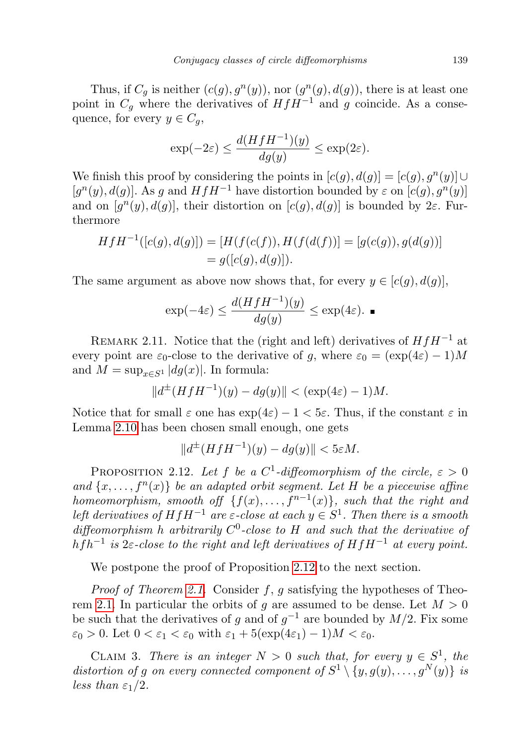Thus, if  $C_g$  is neither  $(c(g), g^n(y))$ , nor  $(g^n(g), d(g))$ , there is at least one point in  $C_g$  where the derivatives of  $HfH^{-1}$  and g coincide. As a consequence, for every  $y \in C_q$ ,

$$
\exp(-2\varepsilon) \le \frac{d(HfH^{-1})(y)}{dg(y)} \le \exp(2\varepsilon).
$$

We finish this proof by considering the points in  $[c(g), d(g)] = [c(g), g<sup>n</sup>(y)] \cup$ [ $g^n(y)$ ,  $d(g)$ ]. As g and  $HfH^{-1}$  have distortion bounded by  $\varepsilon$  on  $[c(g), g^n(y)]$ and on  $[g<sup>n</sup>(y), d(g)]$ , their distortion on  $[c(g), d(g)]$  is bounded by 2 $\varepsilon$ . Furthermore

$$
HfH^{-1}([c(g), d(g)]) = [H(f(c(f)), H(f(d(f))] = [g(c(g)), g(d(g))]
$$
  
=  $g([c(g), d(g)])$ .

The same argument as above now shows that, for every  $y \in [c(q), d(q)]$ ,

$$
\exp(-4\varepsilon) \le \frac{d(HfH^{-1})(y)}{dg(y)} \le \exp(4\varepsilon). \blacksquare
$$

<span id="page-10-1"></span>REMARK 2.11. Notice that the (right and left) derivatives of  $HfH^{-1}$  at every point are  $\varepsilon_0$ -close to the derivative of g, where  $\varepsilon_0 = (\exp(4\varepsilon) - 1)M$ and  $M = \sup_{x \in S^1} |dg(x)|$ . In formula:

$$
||d^{\pm}(HfH^{-1})(y) - dg(y)|| < (\exp(4\varepsilon) - 1)M.
$$

Notice that for small  $\varepsilon$  one has  $\exp(4\varepsilon) - 1 < 5\varepsilon$ . Thus, if the constant  $\varepsilon$  in Lemma [2.10](#page-8-0) has been chosen small enough, one gets

$$
||d^{\pm}(HfH^{-1})(y) - dg(y)|| < 5\varepsilon M.
$$

<span id="page-10-0"></span>PROPOSITION 2.12. Let f be a  $C^1$ -diffeomorphism of the circle,  $\varepsilon > 0$ and  $\{x, \ldots, f^{n}(x)\}\$  be an adapted orbit segment. Let H be a piecewise affine homeomorphism, smooth of  $\{f(x), \ldots, f^{n-1}(x)\}$ , such that the right and left derivatives of  $HfH^{-1}$  are  $\varepsilon$ -close at each  $y \in S^1$ . Then there is a smooth diffeomorphism h arbitrarily  $C^0$ -close to H and such that the derivative of hfh<sup>-1</sup> is  $2\varepsilon$ -close to the right and left derivatives of  $HfH^{-1}$  at every point.

We postpone the proof of Proposition [2.12](#page-10-0) to the next section.

*Proof of Theorem [2.1.](#page-7-0)* Consider f, g satisfying the hypotheses of Theo-rem [2.1.](#page-7-0) In particular the orbits of g are assumed to be dense. Let  $M > 0$ be such that the derivatives of g and of  $g^{-1}$  are bounded by  $M/2$ . Fix some  $\varepsilon_0 > 0$ . Let  $0 < \varepsilon_1 < \varepsilon_0$  with  $\varepsilon_1 + 5(\exp(4\varepsilon_1) - 1)M < \varepsilon_0$ .

CLAIM 3. There is an integer  $N > 0$  such that, for every  $y \in S^1$ , the distortion of g on every connected component of  $S^1 \setminus \{y, g(y), \ldots, g^N(y)\}\;$  is less than  $\varepsilon_1/2$ .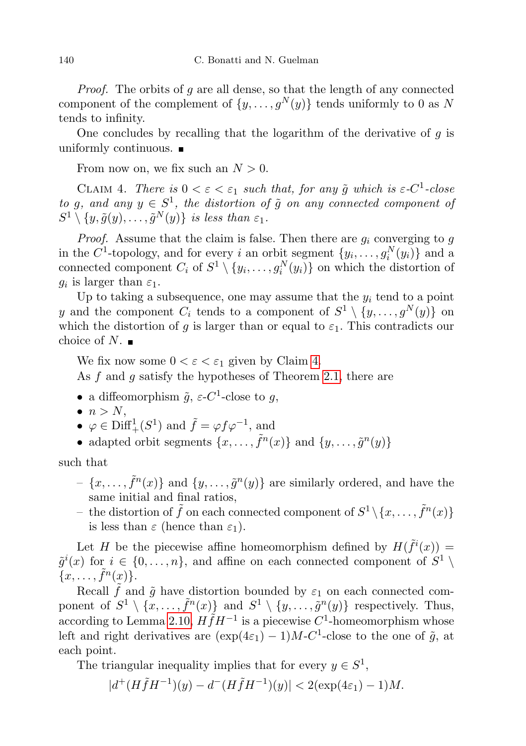Proof. The orbits of g are all dense, so that the length of any connected component of the complement of  $\{y, \ldots, g^N(y)\}\)$  tends uniformly to 0 as N tends to infinity.

One concludes by recalling that the logarithm of the derivative of  $g$  is uniformly continuous.  $\blacksquare$ 

From now on, we fix such an  $N > 0$ .

<span id="page-11-0"></span>CLAIM 4. There is  $0 < \varepsilon < \varepsilon_1$  such that, for any  $\tilde{g}$  which is  $\varepsilon$ -C<sup>1</sup>-close to g, and any  $y \in S^1$ , the distortion of  $\tilde{g}$  on any connected component of  $S^1 \setminus \{y, \tilde{g}(y), \ldots, \tilde{g}^N(y)\}\;$  is less than  $\varepsilon_1$ .

*Proof.* Assume that the claim is false. Then there are  $g_i$  converging to  $g$ in the C<sup>1</sup>-topology, and for every i an orbit segment  $\{y_i, \ldots, g_i^N(y_i)\}\$  and a connected component  $C_i$  of  $S^1 \setminus \{y_i, \ldots, g_i^N(y_i)\}$  on which the distortion of  $g_i$  is larger than  $\varepsilon_1$ .

Up to taking a subsequence, one may assume that the  $y_i$  tend to a point y and the component  $C_i$  tends to a component of  $S^1 \setminus \{y, \ldots, g^N(y)\}$  on which the distortion of g is larger than or equal to  $\varepsilon_1$ . This contradicts our choice of  $N$ .

We fix now some  $0 < \varepsilon < \varepsilon_1$  given by Claim [4.](#page-11-0)

As  $f$  and  $g$  satisfy the hypotheses of Theorem [2.1,](#page-7-0) there are

- a diffeomorphism  $\tilde{g}$ ,  $\varepsilon$ -C<sup>1</sup>-close to g,
- $\bullet$   $n > N$ ,
- $\varphi \in \text{Diff}^1_+(S^1)$  and  $\tilde{f} = \varphi f \varphi^{-1}$ , and
- adapted orbit segments  $\{x, \ldots, \tilde{f}^n(x)\}\$ and  $\{y, \ldots, \tilde{g}^n(y)\}\$

such that

- $\{x, \ldots, \tilde{f}^n(x)\}\$ and  $\{y, \ldots, \tilde{g}^n(y)\}\$ are similarly ordered, and have the same initial and final ratios,
- the distortion of  $\tilde{f}$  on each connected component of  $S^1 \setminus \{x, \ldots, \tilde{f}^n(x)\}$ is less than  $\varepsilon$  (hence than  $\varepsilon_1$ ).

Let H be the piecewise affine homeomorphism defined by  $H(\tilde{f}^i(x)) =$  $\tilde{g}^{i}(x)$  for  $i \in \{0, \ldots, n\}$ , and affine on each connected component of  $S^{1} \setminus$  $\{x, \ldots, \tilde{f}^n(x)\}.$ 

Recall  $\tilde{f}$  and  $\tilde{g}$  have distortion bounded by  $\varepsilon_1$  on each connected component of  $S^1 \setminus {\overline{x}, \ldots, \tilde{f}^n(x)}$  and  $S^1 \setminus {\overline{y}, \ldots, \tilde{g}^n(y)}$  respectively. Thus, according to Lemma [2.10,](#page-8-0)  $H\tilde{f}H^{-1}$  is a piecewise  $C^1$ -homeomorphism whose left and right derivatives are  $(\exp(4\varepsilon_1) - 1)M-C^1$ -close to the one of  $\tilde{g}$ , at each point.

The triangular inequality implies that for every  $y \in S^1$ ,

$$
|d^+(H\tilde{f}H^{-1})(y) - d^-(H\tilde{f}H^{-1})(y)| < 2(\exp(4\varepsilon_1) - 1)M.
$$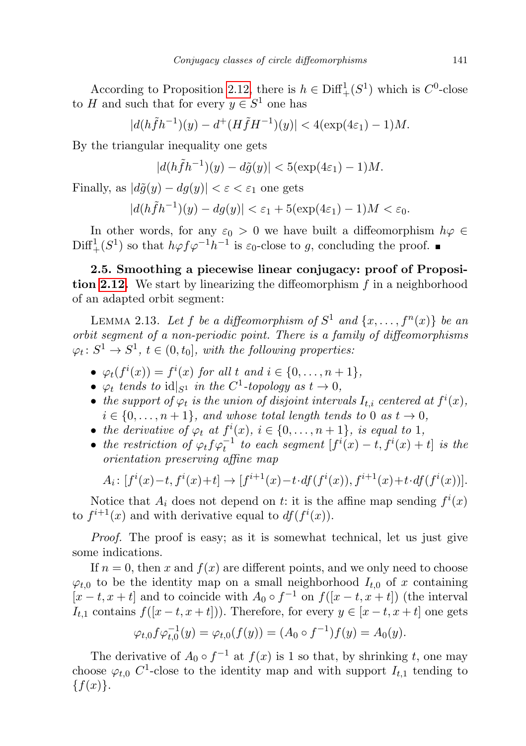According to Proposition [2.12,](#page-10-0) there is  $h \in \text{Diff}^1_+(S^1)$  which is  $C^0$ -close to H and such that for every  $y \in S^1$  one has

 $|d(h\tilde{f}h^{-1})(y) - d^+(H\tilde{f}H^{-1})(y)| < 4(\exp(4\varepsilon_1) - 1)M.$ 

By the triangular inequality one gets

$$
|d(h\tilde{f}h^{-1})(y) - d\tilde{g}(y)| < 5(\exp(4\varepsilon_1) - 1)M.
$$

Finally, as  $|d\tilde{g}(y) - dg(y)| < \varepsilon < \varepsilon_1$  one gets

$$
|d(h\tilde{f}h^{-1})(y) - dg(y)| < \varepsilon_1 + 5(\exp(4\varepsilon_1) - 1)M < \varepsilon_0.
$$

In other words, for any  $\varepsilon_0 > 0$  we have built a diffeomorphism  $h\varphi \in$  $\text{Diff}^1_+(S^1)$  so that  $h\varphi f\varphi^{-1}h^{-1}$  is  $\varepsilon_0$ -close to g, concluding the proof.

<span id="page-12-0"></span>2.5. Smoothing a piecewise linear conjugacy: proof of Proposi-tion [2.12.](#page-10-0) We start by linearizing the diffeomorphism  $f$  in a neighborhood of an adapted orbit segment:

<span id="page-12-1"></span>LEMMA 2.13. Let f be a diffeomorphism of  $S^1$  and  $\{x, \ldots, f^n(x)\}$  be an orbit segment of a non-periodic point. There is a family of diffeomorphisms  $\varphi_t \colon S^1 \to S^1, t \in (0, t_0],$  with the following properties.

- $\varphi_t(f^i(x)) = f^i(x)$  for all t and  $i \in \{0, \ldots, n+1\},$
- $\varphi_t$  tends to  $\mathrm{id}|_{S^1}$  in the  $C^1$ -topology as  $t \to 0$ ,
- the support of  $\varphi_t$  is the union of disjoint intervals  $I_{t,i}$  centered at  $f^i(x)$ ,  $i \in \{0, \ldots, n+1\}$ , and whose total length tends to 0 as  $t \to 0$ ,
- the derivative of  $\varphi_t$  at  $f^i(x)$ ,  $i \in \{0, \ldots, n+1\}$ , is equal to 1,
- the restriction of  $\varphi_t f \varphi_t^{-1}$  to each segment  $[f^i(x) t, f^i(x) + t]$  is the orientation preserving affine map

$$
A_i: [f^i(x) - t, f^i(x) + t] \to [f^{i+1}(x) - t \cdot df(f^i(x)), f^{i+1}(x) + t \cdot df(f^i(x))].
$$

Notice that  $A_i$  does not depend on t: it is the affine map sending  $f^i(x)$ to  $f^{i+1}(x)$  and with derivative equal to  $df(f^i(x))$ .

Proof. The proof is easy; as it is somewhat technical, let us just give some indications.

If  $n = 0$ , then x and  $f(x)$  are different points, and we only need to choose  $\varphi_{t,0}$  to be the identity map on a small neighborhood  $I_{t,0}$  of x containing  $[x-t, x+t]$  and to coincide with  $A_0 \circ f^{-1}$  on  $f([x-t, x+t])$  (the interval  $I_{t,1}$  contains  $f([x-t, x+t])$ . Therefore, for every  $y \in [x-t, x+t]$  one gets

$$
\varphi_{t,0} f \varphi_{t,0}^{-1}(y) = \varphi_{t,0}(f(y)) = (A_0 \circ f^{-1}) f(y) = A_0(y).
$$

The derivative of  $A_0 \circ f^{-1}$  at  $f(x)$  is 1 so that, by shrinking t, one may choose  $\varphi_{t,0}$  C<sup>1</sup>-close to the identity map and with support  $I_{t,1}$  tending to  $\{f(x)\}.$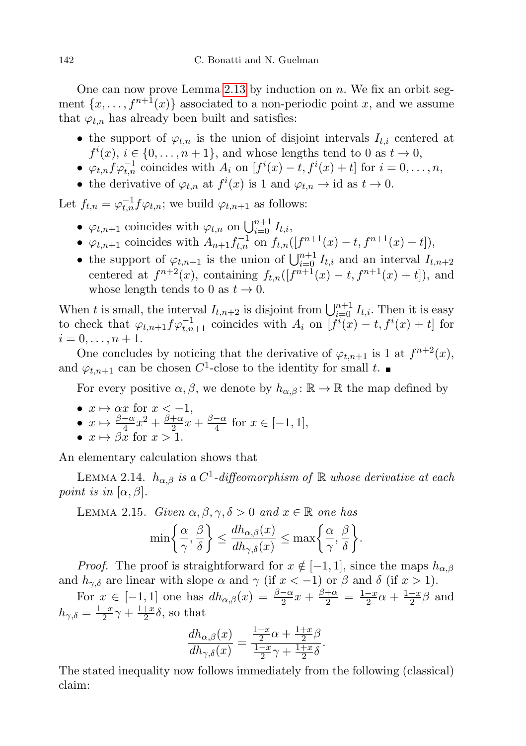One can now prove Lemma [2.13](#page-12-1) by induction on  $n$ . We fix an orbit segment  $\{x, \ldots, f^{n+1}(x)\}\$ associated to a non-periodic point x, and we assume that  $\varphi_{t,n}$  has already been built and satisfies:

- the support of  $\varphi_{t,n}$  is the union of disjoint intervals  $I_{t,i}$  centered at  $f^{i}(x), i \in \{0, \ldots, n+1\},$  and whose lengths tend to 0 as  $t \to 0$ ,
- $\varphi_{t,n} f \varphi_{t,n}^{-1}$  coincides with  $A_i$  on  $[f^i(x) t, f^i(x) + t]$  for  $i = 0, \ldots, n$ ,
- the derivative of  $\varphi_{t,n}$  at  $f^i(x)$  is 1 and  $\varphi_{t,n} \to id$  as  $t \to 0$ .

Let  $f_{t,n} = \varphi_{t,n}^{-1} f \varphi_{t,n}$ ; we build  $\varphi_{t,n+1}$  as follows:

- $\varphi_{t,n+1}$  coincides with  $\varphi_{t,n}$  on  $\bigcup_{i=0}^{n+1} I_{t,i}$ ,
- $\varphi_{t,n+1}$  coincides with  $A_{n+1} f_{t,n}^{-1}$  on  $f_{t,n}([f^{n+1}(x) t, f^{n+1}(x) + t]),$
- the support of  $\varphi_{t,n+1}$  is the union of  $\bigcup_{i=0}^{n+1} I_{t,i}$  and an interval  $I_{t,n+2}$ centered at  $f^{n+2}(x)$ , containing  $f_{t,n}([f^{n+1}(x) - t, f^{n+1}(x) + t])$ , and whose length tends to 0 as  $t \to 0$ .

When t is small, the interval  $I_{t,n+2}$  is disjoint from  $\bigcup_{i=0}^{n+1} I_{t,i}$ . Then it is easy to check that  $\varphi_{t,n+1} f \varphi_{t,n+1}^{-1}$  coincides with  $A_i$  on  $\overline{f^{i}(x)} - t, f^{i}(x) + t$  for  $i = 0, \ldots, n + 1.$ 

One concludes by noticing that the derivative of  $\varphi_{t,n+1}$  is 1 at  $f^{n+2}(x)$ , and  $\varphi_{t,n+1}$  can be chosen  $C^1$ -close to the identity for small t.

For every positive  $\alpha, \beta$ , we denote by  $h_{\alpha, \beta} : \mathbb{R} \to \mathbb{R}$  the map defined by

- $x \mapsto \alpha x$  for  $x < -1$ ,
- $x \mapsto \frac{\beta-\alpha}{4}x^2 + \frac{\beta+\alpha}{2}$  $rac{+\alpha}{2}x + \frac{\beta-\alpha}{4}$  $\frac{-\alpha}{4}$  for  $x \in [-1, 1],$ •  $x \mapsto \beta x$  for  $x > 1$ .
- 

An elementary calculation shows that

LEMMA 2.14.  $h_{\alpha,\beta}$  is a C<sup>1</sup>-diffeomorphism of R whose derivative at each point is in  $[\alpha, \beta]$ .

<span id="page-13-0"></span>LEMMA 2.15. Given  $\alpha, \beta, \gamma, \delta > 0$  and  $x \in \mathbb{R}$  one has

$$
\min\bigg\{\frac{\alpha}{\gamma},\frac{\beta}{\delta}\bigg\} \le \frac{dh_{\alpha,\beta}(x)}{dh_{\gamma,\delta}(x)} \le \max\bigg\{\frac{\alpha}{\gamma},\frac{\beta}{\delta}\bigg\}.
$$

*Proof.* The proof is straightforward for  $x \notin [-1, 1]$ , since the maps  $h_{\alpha, \beta}$ and  $h_{\gamma,\delta}$  are linear with slope  $\alpha$  and  $\gamma$  (if  $x < -1$ ) or  $\beta$  and  $\delta$  (if  $x > 1$ ).

For  $x \in [-1, 1]$  one has  $dh_{\alpha,\beta}(x) = \frac{\beta-\alpha}{2}x + \frac{\beta+\alpha}{2} = \frac{1-x}{2}$  $\frac{-x}{2}\alpha + \frac{1+x}{2}$  $\frac{+x}{2}\beta$  and  $h_{\gamma,\delta} = \frac{1-x}{2}$  $\frac{-x}{2}\gamma + \frac{1+x}{2}$  $\frac{+x}{2}\delta$ , so that

$$
\frac{dh_{\alpha,\beta}(x)}{dh_{\gamma,\delta}(x)} = \frac{\frac{1-x}{2}\alpha + \frac{1+x}{2}\beta}{\frac{1-x}{2}\gamma + \frac{1+x}{2}\delta}.
$$

The stated inequality now follows immediately from the following (classical) claim: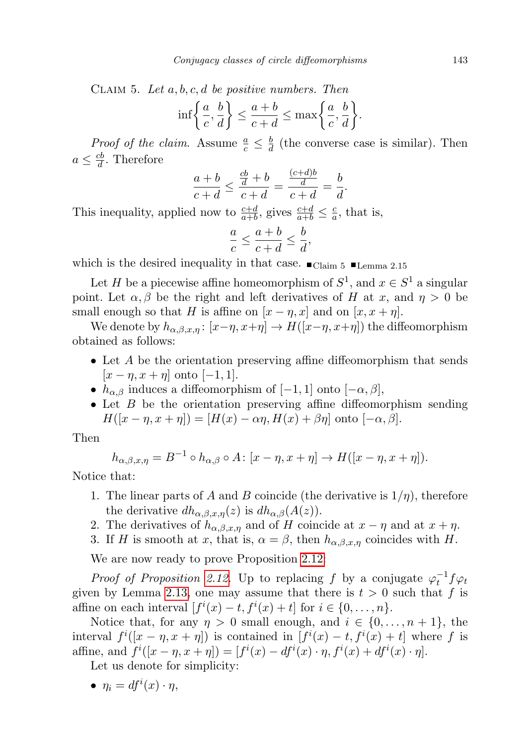CLAIM 5. Let  $a, b, c, d$  be positive numbers. Then

$$
\inf \left\{ \frac{a}{c}, \frac{b}{d} \right\} \le \frac{a+b}{c+d} \le \max \left\{ \frac{a}{c}, \frac{b}{d} \right\}.
$$

*Proof of the claim.* Assume  $\frac{a}{c} \leq \frac{b}{d}$  $\frac{b}{d}$  (the converse case is similar). Then  $a \leq \frac{cb}{d}$  $\frac{cb}{d}$ . Therefore

$$
\frac{a+b}{c+d} \le \frac{\frac{cb}{d}+b}{c+d} = \frac{\frac{(c+d)b}{d}}{c+d} = \frac{b}{d}.
$$

This inequality, applied now to  $\frac{c+d}{a+b}$ , gives  $\frac{c+d}{a+b} \leq \frac{c}{a}$  $\frac{c}{a}$ , that is,

$$
\frac{a}{c} \le \frac{a+b}{c+d} \le \frac{b}{d},
$$

which is the desired inequality in that case.  $\Box$ Claim 5  $\Box$ Lemma 2.15

Let H be a piecewise affine homeomorphism of  $S^1$ , and  $x \in S^1$  a singular point. Let  $\alpha, \beta$  be the right and left derivatives of H at x, and  $\eta > 0$  be small enough so that H is affine on  $[x - \eta, x]$  and on  $[x, x + \eta]$ .

We denote by  $h_{\alpha,\beta,x,n}$ :  $[x-\eta,x+\eta] \to H([x-\eta,x+\eta])$  the diffeomorphism obtained as follows:

- Let A be the orientation preserving affine diffeomorphism that sends  $[x - \eta, x + \eta]$  onto  $[-1, 1]$ .
- $h_{\alpha,\beta}$  induces a diffeomorphism of [−1, 1] onto [− $\alpha,\beta$ ],
- $\bullet$  Let  $B$  be the orientation preserving affine diffeomorphism sending  $H([x - \eta, x + \eta]) = [H(x) - \alpha \eta, H(x) + \beta \eta]$  onto  $[-\alpha, \beta]$ .

Then

$$
h_{\alpha,\beta,x,\eta} = B^{-1} \circ h_{\alpha,\beta} \circ A \colon [x - \eta, x + \eta] \to H([x - \eta, x + \eta]).
$$

Notice that:

- 1. The linear parts of A and B coincide (the derivative is  $1/\eta$ ), therefore the derivative  $dh_{\alpha,\beta,x,\eta}(z)$  is  $dh_{\alpha,\beta}(A(z)).$
- 2. The derivatives of  $h_{\alpha,\beta,x,\eta}$  and of H coincide at  $x \eta$  and at  $x + \eta$ .
- 3. If H is smooth at x, that is,  $\alpha = \beta$ , then  $h_{\alpha,\beta,x,\eta}$  coincides with H.

We are now ready to prove Proposition [2.12:](#page-10-0)

*Proof of Proposition [2.12.](#page-10-0)* Up to replacing f by a conjugate  $\varphi_t^{-1} f \varphi_t$ given by Lemma [2.13,](#page-12-1) one may assume that there is  $t > 0$  such that f is affine on each interval  $[f^i(x) - t, f^i(x) + t]$  for  $i \in \{0, ..., n\}$ .

Notice that, for any  $\eta > 0$  small enough, and  $i \in \{0, \ldots, n+1\}$ , the interval  $f^{i}([x - \eta, x + \eta])$  is contained in  $[f^{i}(x) - t, f^{i}(x) + t]$  where f is affine, and  $f^{i}([x - \eta, x + \eta]) = [f^{i}(x) - df^{i}(x) \cdot \eta, f^{i}(x) + df^{i}(x) \cdot \eta].$ 

Let us denote for simplicity:

• 
$$
\eta_i = df^i(x) \cdot \eta
$$
,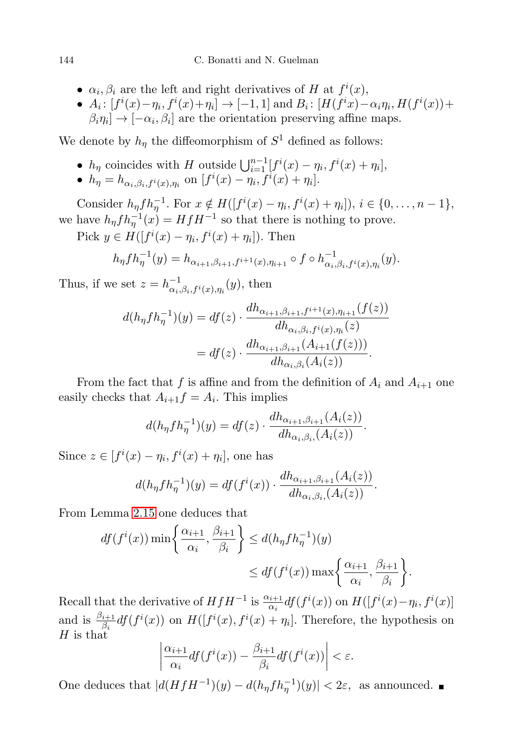- $\alpha_i, \beta_i$  are the left and right derivatives of H at  $f^i(x)$ ,
- $A_i: [f^i(x) \eta_i, f^i(x) + \eta_i] \to [-1, 1]$  and  $B_i: [H(f^ix) \alpha_i\eta_i, H(f^i(x)) +$  $\beta_i \eta_i] \rightarrow [-\alpha_i, \beta_i]$  are the orientation preserving affine maps.

We denote by  $h_{\eta}$  the diffeomorphism of  $S^1$  defined as follows:

•  $h_{\eta}$  coincides with H outside  $\bigcup_{i=1}^{n-1} [f^i(x) - \eta_i, f^i(x) + \eta_i],$ •  $h_{\eta} = h_{\alpha_i, \beta_i, f^i(x), \eta_i}$  on  $[f^i(x) - \eta_i, f^i(x) + \eta_i].$ 

Consider  $h_{\eta} f h_{\eta}^{-1}$ . For  $x \notin H([f^i(x) - \eta_i, f^i(x) + \eta_i]), i \in \{0, ..., n-1\},$ we have  $h_{\eta} f h_{\eta}^{-1}(x) = H f H^{-1}$  so that there is nothing to prove.

Pick  $y \in H([f^i(x) - \eta_i, f^i(x) + \eta_i])$ . Then

$$
h_{\eta} f h_{\eta}^{-1}(y) = h_{\alpha_{i+1}, \beta_{i+1}, f^{i+1}(x), \eta_{i+1}} \circ f \circ h_{\alpha_i, \beta_i, f^i(x), \eta_i}^{-1}(y).
$$

Thus, if we set  $z = h_{\alpha}^{-1}$  $\overline{\alpha_i}^{1}, \beta_i, f^i(x), \eta_i(y)$ , then

$$
d(h_{\eta} f h_{\eta}^{-1})(y) = df(z) \cdot \frac{dh_{\alpha_{i+1},\beta_{i+1},f^{i+1}(x),\eta_{i+1}}(f(z))}{dh_{\alpha_i,\beta_i,f^i(x),\eta_i}(z)}
$$
  
= 
$$
df(z) \cdot \frac{dh_{\alpha_{i+1},\beta_{i+1}}(A_{i+1}(f(z)))}{dh_{\alpha_i,\beta_i}(A_i(z))}.
$$

From the fact that f is affine and from the definition of  $A_i$  and  $A_{i+1}$  one easily checks that  $A_{i+1}f = A_i$ . This implies

$$
d(h_{\eta} f h_{\eta}^{-1})(y) = df(z) \cdot \frac{dh_{\alpha_{i+1},\beta_{i+1}}(A_i(z))}{dh_{\alpha_i,\beta_i}(A_i(z))}.
$$

Since  $z \in [f^i(x) - \eta_i, f^i(x) + \eta_i]$ , one has

$$
d(h_{\eta} f h_{\eta}^{-1})(y) = df(f^{i}(x)) \cdot \frac{dh_{\alpha_{i+1},\beta_{i+1}}(A_{i}(z))}{dh_{\alpha_{i},\beta_{i}}(A_{i}(z))}.
$$

From Lemma [2.15](#page-13-0) one deduces that

$$
df(f^{i}(x)) \min\left\{\frac{\alpha_{i+1}}{\alpha_{i}}, \frac{\beta_{i+1}}{\beta_{i}}\right\} \leq d(h_{\eta} f h_{\eta}^{-1})(y)
$$

$$
\leq df(f^{i}(x)) \max\left\{\frac{\alpha_{i+1}}{\alpha_{i}}, \frac{\beta_{i+1}}{\beta_{i}}\right\}.
$$

Recall that the derivative of  $HfH^{-1}$  is  $\frac{\alpha_{i+1}}{\alpha_i} df(f^i(x))$  on  $H([f^i(x)-\eta_i, f^i(x)]$ and is  $\frac{\beta_{i+1}}{\beta_i} df(f^i(x))$  on  $H([f^i(x), f^i(x) + \eta_i]$ . Therefore, the hypothesis on  $H$  is that

$$
\left|\frac{\alpha_{i+1}}{\alpha_i}df(f^i(x)) - \frac{\beta_{i+1}}{\beta_i}df(f^i(x))\right| < \varepsilon.
$$

One deduces that  $|d(HfH^{-1})(y) - d(h_{\eta}fh_{\eta}^{-1})(y)| < 2\varepsilon$ , as announced.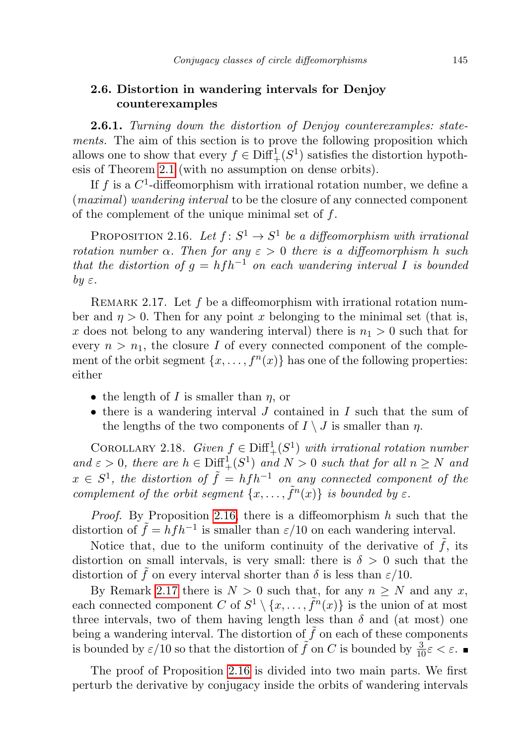## <span id="page-16-1"></span>2.6. Distortion in wandering intervals for Denjoy counterexamples

**2.6.1.** Turning down the distortion of Denjoy counterexamples: statements. The aim of this section is to prove the following proposition which allows one to show that every  $f \in \text{Diff}^1_+(S^1)$  satisfies the distortion hypothesis of Theorem [2.1](#page-7-0) (with no assumption on dense orbits).

If f is a  $C^1$ -diffeomorphism with irrational rotation number, we define a (maximal) wandering interval to be the closure of any connected component of the complement of the unique minimal set of f.

<span id="page-16-0"></span>PROPOSITION 2.16. Let  $f: S^1 \to S^1$  be a diffeomorphism with irrational rotation number  $\alpha$ . Then for any  $\varepsilon > 0$  there is a diffeomorphism h such that the distortion of  $g = h f h^{-1}$  on each wandering interval I is bounded by  $\varepsilon$ .

<span id="page-16-2"></span>REMARK 2.17. Let  $f$  be a diffeomorphism with irrational rotation number and  $\eta > 0$ . Then for any point x belonging to the minimal set (that is, x does not belong to any wandering interval) there is  $n_1 > 0$  such that for every  $n > n_1$ , the closure I of every connected component of the complement of the orbit segment  $\{x, \ldots, f^{(n)}\}\)$  has one of the following properties: either

- the length of I is smaller than  $\eta$ , or
- $\bullet$  there is a wandering interval J contained in I such that the sum of the lengths of the two components of  $I \setminus J$  is smaller than  $\eta$ .

<span id="page-16-3"></span>COROLLARY 2.18. Given  $f \in \text{Diff}^1_+(S^1)$  with irrational rotation number and  $\varepsilon > 0$ , there are  $h \in \text{Diff}^1_+(S^1)$  and  $N > 0$  such that for all  $n \geq N$  and  $x \in S^1$ , the distortion of  $\tilde{f} = h f h^{-1}$  on any connected component of the complement of the orbit segment  $\{x, \ldots, \tilde{f}^n(x)\}\;$  is bounded by  $\varepsilon$ .

*Proof.* By Proposition [2.16,](#page-16-0) there is a diffeomorphism  $h$  such that the distortion of  $\tilde{f} = h f h^{-1}$  is smaller than  $\varepsilon/10$  on each wandering interval.

Notice that, due to the uniform continuity of the derivative of  $\tilde{f}$ , its distortion on small intervals, is very small: there is  $\delta > 0$  such that the distortion of f on every interval shorter than  $\delta$  is less than  $\varepsilon/10$ .

By Remark [2.17](#page-16-2) there is  $N > 0$  such that, for any  $n > N$  and any x, each connected component C of  $S^1 \setminus \{x, \ldots, \tilde{f}^n(x)\}\$ is the union of at most three intervals, two of them having length less than  $\delta$  and (at most) one being a wandering interval. The distortion of  $\tilde{f}$  on each of these components is bounded by  $\varepsilon/10$  so that the distortion of  $\tilde{f}$  on C is bounded by  $\frac{3}{10}\varepsilon < \varepsilon$ .

The proof of Proposition [2.16](#page-16-0) is divided into two main parts. We first perturb the derivative by conjugacy inside the orbits of wandering intervals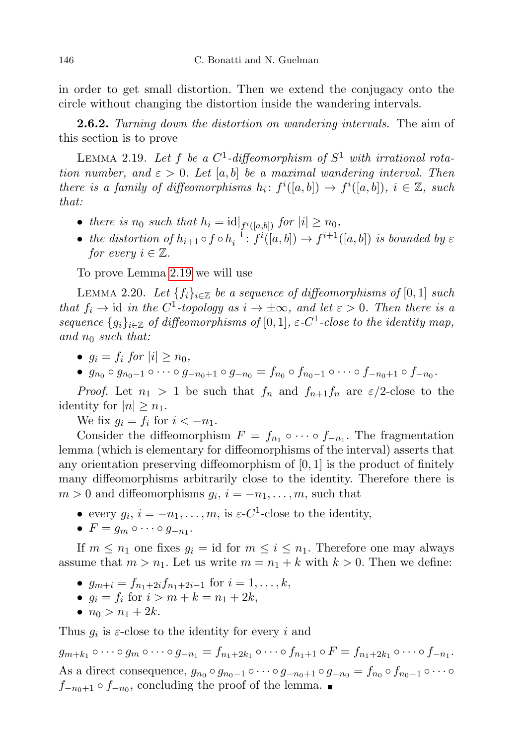in order to get small distortion. Then we extend the conjugacy onto the circle without changing the distortion inside the wandering intervals.

**2.6.2.** Turning down the distortion on wandering intervals. The aim of this section is to prove

<span id="page-17-0"></span>LEMMA 2.19. Let f be a  $C^1$ -diffeomorphism of  $S^1$  with irrational rotation number, and  $\varepsilon > 0$ . Let [a, b] be a maximal wandering interval. Then there is a family of diffeomorphisms  $h_i: f^i([a,b]) \to f^i([a,b])$ ,  $i \in \mathbb{Z}$ , such that:

- there is  $n_0$  such that  $h_i = \mathrm{id}|_{f^i([a,b])}$  for  $|i| \ge n_0$ ,
- the distortion of  $h_{i+1} \circ f \circ h_i^{-1}$ :  $f^i([a,b]) \to f^{i+1}([a,b])$  is bounded by  $\varepsilon$ for every  $i \in \mathbb{Z}$ .

To prove Lemma [2.19](#page-17-0) we will use

<span id="page-17-1"></span>LEMMA 2.20. Let  $\{f_i\}_{i\in\mathbb{Z}}$  be a sequence of diffeomorphisms of [0, 1] such that  $f_i \to id$  in the C<sup>1</sup>-topology as  $i \to \pm \infty$ , and let  $\varepsilon > 0$ . Then there is a sequence  $\{g_i\}_{i\in\mathbb{Z}}$  of diffeomorphisms of  $[0,1]$ ,  $\varepsilon$ -C<sup>1</sup>-close to the identity map, and  $n_0$  such that:

- $q_i = f_i$  for  $|i| > n_0$ ,
- $g_{n_0} \circ g_{n_0-1} \circ \cdots \circ g_{-n_0+1} \circ g_{-n_0} = f_{n_0} \circ f_{n_0-1} \circ \cdots \circ f_{-n_0+1} \circ f_{-n_0}.$

*Proof.* Let  $n_1 > 1$  be such that  $f_n$  and  $f_{n+1}f_n$  are  $\varepsilon/2$ -close to the identity for  $|n| \geq n_1$ .

We fix  $g_i = f_i$  for  $i < -n_1$ .

Consider the diffeomorphism  $F = f_{n_1} \circ \cdots \circ f_{-n_1}$ . The fragmentation lemma (which is elementary for diffeomorphisms of the interval) asserts that any orientation preserving diffeomorphism of  $[0, 1]$  is the product of finitely many diffeomorphisms arbitrarily close to the identity. Therefore there is  $m > 0$  and diffeomorphisms  $g_i$ ,  $i = -n_1, \ldots, m$ , such that

- every  $g_i$ ,  $i = -n_1, \ldots, m$ , is  $\varepsilon$ -C<sup>1</sup>-close to the identity,
- $F = g_m \circ \cdots \circ g_{-n_1}$ .

If  $m \leq n_1$  one fixes  $g_i = id$  for  $m \leq i \leq n_1$ . Therefore one may always assume that  $m > n_1$ . Let us write  $m = n_1 + k$  with  $k > 0$ . Then we define:

- $g_{m+i} = f_{n_1+2i}f_{n_1+2i-1}$  for  $i = 1, ..., k$ ,
- $g_i = f_i$  for  $i > m + k = n_1 + 2k$ ,
- $n_0 > n_1 + 2k$ .

Thus  $g_i$  is  $\varepsilon$ -close to the identity for every i and

 $g_{m+k_1} \circ \cdots \circ g_m \circ \cdots \circ g_{-n_1} = f_{n_1+2k_1} \circ \cdots \circ f_{n_1+1} \circ F = f_{n_1+2k_1} \circ \cdots \circ f_{-n_1}.$ As a direct consequence,  $g_{n_0} \circ g_{n_0-1} \circ \cdots \circ g_{-n_0+1} \circ g_{-n_0} = f_{n_0} \circ f_{n_0-1} \circ \cdots \circ g_{-n_n}$  $f_{-n_0+1} \circ f_{-n_0}$ , concluding the proof of the lemma.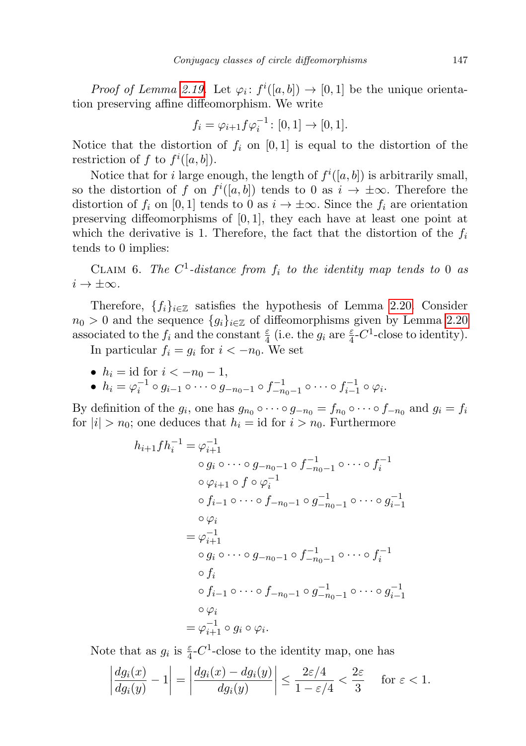*Proof of Lemma [2.19.](#page-17-0)* Let  $\varphi_i: f^i([a, b]) \to [0, 1]$  be the unique orientation preserving affine diffeomorphism. We write

$$
f_i = \varphi_{i+1} f \varphi_i^{-1} \colon [0,1] \to [0,1].
$$

Notice that the distortion of  $f_i$  on [0, 1] is equal to the distortion of the restriction of f to  $f^i([a, b])$ .

Notice that for *i* large enough, the length of  $f^{i}([a, b])$  is arbitrarily small, so the distortion of f on  $f^i([a, b])$  tends to 0 as  $i \to \pm \infty$ . Therefore the distortion of  $f_i$  on [0, 1] tends to 0 as  $i \to \pm \infty$ . Since the  $f_i$  are orientation preserving diffeomorphisms of [0, 1], they each have at least one point at which the derivative is 1. Therefore, the fact that the distortion of the  $f_i$ tends to 0 implies:

CLAIM 6. The  $C^1$ -distance from  $f_i$  to the identity map tends to 0 as  $i \to \pm \infty$ .

Therefore,  $\{f_i\}_{i\in\mathbb{Z}}$  satisfies the hypothesis of Lemma [2.20.](#page-17-1) Consider  $n_0 > 0$  and the sequence  $\{g_i\}_{i \in \mathbb{Z}}$  of diffeomorphisms given by Lemma [2.20](#page-17-1) associated to the  $f_i$  and the constant  $\frac{\varepsilon}{4}$  (i.e. the  $g_i$  are  $\frac{\varepsilon}{4}$ -C<sup>1</sup>-close to identity).

In particular  $f_i = g_i$  for  $i < -n_0$ . We set

• 
$$
h_i = \text{id}
$$
 for  $i < -n_0 - 1$ ,

• 
$$
h_i = \varphi_i^{-1} \circ g_{i-1} \circ \cdots \circ g_{-n_0-1} \circ f_{-n_0-1}^{-1} \circ \cdots \circ f_{i-1}^{-1} \circ \varphi_i
$$
.

By definition of the  $g_i$ , one has  $g_{n_0} \circ \cdots \circ g_{-n_0} = f_{n_0} \circ \cdots \circ f_{-n_0}$  and  $g_i = f_i$ for  $|i| > n_0$ ; one deduces that  $h_i = id$  for  $i > n_0$ . Furthermore

$$
h_{i+1}fh_i^{-1} = \varphi_{i+1}^{-1}
$$
  
\n
$$
\circ g_i \circ \cdots \circ g_{-n_0-1} \circ f_{-n_0-1}^{-1} \circ \cdots \circ f_i^{-1}
$$
  
\n
$$
\circ \varphi_{i+1} \circ f \circ \varphi_i^{-1}
$$
  
\n
$$
\circ f_{i-1} \circ \cdots \circ f_{-n_0-1} \circ g_{-n_0-1}^{-1} \circ \cdots \circ g_{i-1}^{-1}
$$
  
\n
$$
\circ \varphi_i
$$
  
\n
$$
= \varphi_{i+1}^{-1}
$$
  
\n
$$
\circ g_i \circ \cdots \circ g_{-n_0-1} \circ f_{-n_0-1}^{-1} \circ \cdots \circ f_i^{-1}
$$
  
\n
$$
\circ f_i
$$
  
\n
$$
\circ f_{i-1} \circ \cdots \circ f_{-n_0-1} \circ g_{-n_0-1}^{-1} \circ \cdots \circ g_{i-1}^{-1}
$$
  
\n
$$
\circ \varphi_i
$$
  
\n
$$
= \varphi_{i+1}^{-1} \circ g_i \circ \varphi_i.
$$

Note that as  $g_i$  is  $\frac{\varepsilon}{4}$ -C<sup>1</sup>-close to the identity map, one has

$$
\left|\frac{dg_i(x)}{dg_i(y)}-1\right|=\left|\frac{dg_i(x)-dg_i(y)}{dg_i(y)}\right|\leq \frac{2\varepsilon/4}{1-\varepsilon/4}<\frac{2\varepsilon}{3} \quad \text{ for } \varepsilon<1.
$$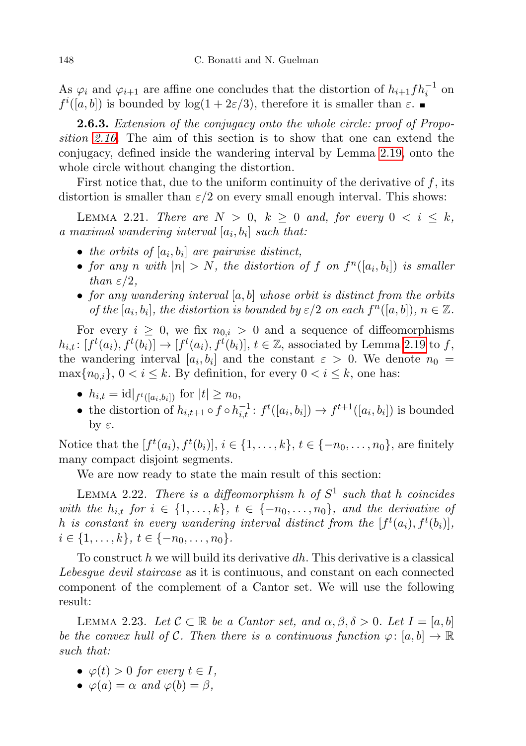As  $\varphi_i$  and  $\varphi_{i+1}$  are affine one concludes that the distortion of  $h_{i+1} f h_i^{-1}$  on  $f^{i}([a, b])$  is bounded by  $log(1 + 2\varepsilon/3)$ , therefore it is smaller than  $\varepsilon$ .

**2.6.3.** Extension of the conjugacy onto the whole circle: proof of Proposition [2.16.](#page-16-0) The aim of this section is to show that one can extend the conjugacy, defined inside the wandering interval by Lemma [2.19,](#page-17-0) onto the whole circle without changing the distortion.

First notice that, due to the uniform continuity of the derivative of  $f$ , its distortion is smaller than  $\varepsilon/2$  on every small enough interval. This shows:

LEMMA 2.21. There are  $N > 0$ ,  $k \geq 0$  and, for every  $0 < i \leq k$ , a maximal wandering interval  $[a_i, b_i]$  such that:

- the orbits of  $[a_i, b_i]$  are pairwise distinct,
- for any n with  $|n| > N$ , the distortion of f on  $f^n([a_i, b_i])$  is smaller than  $\varepsilon/2$ ,
- for any wandering interval  $[a, b]$  whose orbit is distinct from the orbits of the  $[a_i, b_i]$ , the distortion is bounded by  $\varepsilon/2$  on each  $f^n([a, b])$ ,  $n \in \mathbb{Z}$ .

For every  $i \geq 0$ , we fix  $n_{0,i} > 0$  and a sequence of diffeomorphisms  $h_{i,t}: [f^t(a_i), f^t(b_i)] \to [f^t(a_i), f^t(b_i)], t \in \mathbb{Z}$ , associated by Lemma [2.19](#page-17-0) to f, the wandering interval  $[a_i, b_i]$  and the constant  $\varepsilon > 0$ . We denote  $n_0 =$  $\max\{n_{0,i}\},\ 0 < i \leq k$ . By definition, for every  $0 < i \leq k$ , one has:

- $h_{i,t} = id|_{f^t([a_i, b_i])}$  for  $|t| \ge n_0$ ,
- the distortion of  $h_{i,t+1} \circ f \circ h_{i,t}^{-1} : f^t([a_i, b_i]) \to f^{t+1}([a_i, b_i])$  is bounded by  $ε$ .

Notice that the  $[f^t(a_i), f^t(b_i)], i \in \{1, ..., k\}, t \in \{-n_0, ..., n_0\}$ , are finitely many compact disjoint segments.

We are now ready to state the main result of this section:

<span id="page-19-1"></span>LEMMA 2.22. There is a diffeomorphism h of  $S^1$  such that h coincides with the  $h_{i,t}$  for  $i \in \{1,\ldots,k\}, t \in \{-n_0,\ldots,n_0\},$  and the derivative of h is constant in every wandering interval distinct from the  $[f<sup>t</sup>(a<sub>i</sub>), f<sup>t</sup>(b<sub>i</sub>)],$  $i \in \{1, \ldots, k\}, t \in \{-n_0, \ldots, n_0\}.$ 

To construct h we will build its derivative dh. This derivative is a classical Lebesque devil staircase as it is continuous, and constant on each connected component of the complement of a Cantor set. We will use the following result:

<span id="page-19-0"></span>LEMMA 2.23. Let  $C \subset \mathbb{R}$  be a Cantor set, and  $\alpha, \beta, \delta > 0$ . Let  $I = [a, b]$ be the convex hull of C. Then there is a continuous function  $\varphi: [a, b] \to \mathbb{R}$ such that:

- $\varphi(t) > 0$  for every  $t \in I$ ,
- $\varphi(a) = \alpha$  and  $\varphi(b) = \beta$ ,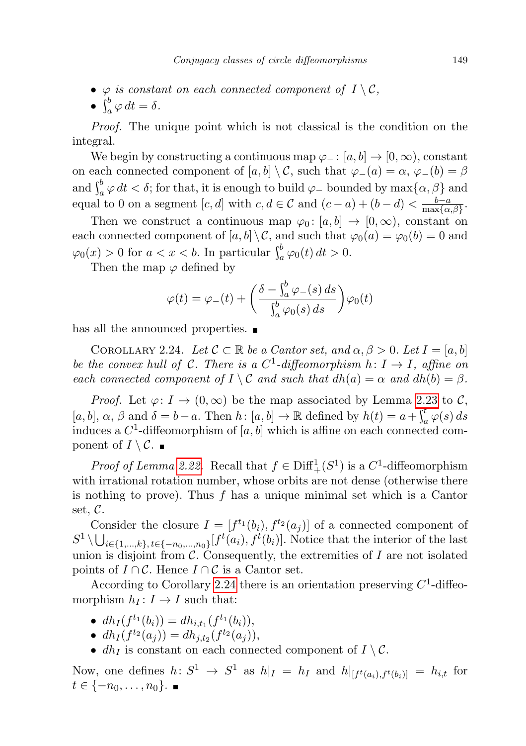- $\varphi$  is constant on each connected component of  $I \setminus \mathcal{C}$ ,
- $\int_a^b \varphi \, dt = \delta$ .

Proof. The unique point which is not classical is the condition on the integral.

We begin by constructing a continuous map  $\varphi$ <sub>-</sub>: [a, b]  $\rightarrow$  [0, ∞), constant on each connected component of  $[a, b] \setminus C$ , such that  $\varphi_-(a) = \alpha$ ,  $\varphi_-(b) = \beta$ and  $\int_a^b \varphi \, dt < \delta$ ; for that, it is enough to build  $\varphi$  bounded by  $\max\{\alpha, \beta\}$  and equal to 0 on a segment  $[c, d]$  with  $c, d \in \mathcal{C}$  and  $(c - a) + (b - d) < \frac{b - a}{\max\{a\}}$  $\frac{b-a}{\max\{\alpha,\beta\}}$ .

Then we construct a continuous map  $\varphi_0: [a, b] \to [0, \infty)$ , constant on each connected component of  $[a, b] \setminus C$ , and such that  $\varphi_0(a) = \varphi_0(b) = 0$  and  $\varphi_0(x) > 0$  for  $a < x < b$ . In particular  $\int_a^b \varphi_0(t) dt > 0$ .

Then the map  $\varphi$  defined by

$$
\varphi(t) = \varphi_{-}(t) + \left(\frac{\delta - \int_a^b \varphi_{-}(s) ds}{\int_a^b \varphi_0(s) ds}\right) \varphi_0(t)
$$

has all the announced properties.  $\blacksquare$ 

<span id="page-20-0"></span>COROLLARY 2.24. Let  $C \subset \mathbb{R}$  be a Cantor set, and  $\alpha, \beta > 0$ . Let  $I = [a, b]$ be the convex hull of C. There is a  $C^1$ -diffeomorphism  $h: I \to I$ , affine on each connected component of  $I \setminus C$  and such that  $dh(a) = \alpha$  and  $dh(b) = \beta$ .

*Proof.* Let  $\varphi: I \to (0, \infty)$  be the map associated by Lemma [2.23](#page-19-0) to C,  $[a, b], \alpha, \beta \text{ and } \delta = b - a.$  Then  $h: [a, b] \to \mathbb{R}$  defined by  $h(t) = a + \int_a^t \varphi(s) ds$ induces a  $C^1$ -diffeomorphism of  $[a, b]$  which is affine on each connected component of  $I \setminus \mathcal{C}$ .

*Proof of Lemma [2.22.](#page-19-1)* Recall that  $f \in \text{Diff}^1_+(S^1)$  is a  $C^1$ -diffeomorphism with irrational rotation number, whose orbits are not dense (otherwise there is nothing to prove). Thus  $f$  has a unique minimal set which is a Cantor set, C.

Consider the closure  $I = [f^{t_1}(b_i), f^{t_2}(a_j)]$  of a connected component of  $S^1 \setminus \bigcup_{i \in \{1,\ldots,k\}, t \in \{-n_0,\ldots,n_0\}} [f^t(a_i), f^t(b_i)].$  Notice that the interior of the last union is disjoint from  $\mathcal{C}$ . Consequently, the extremities of I are not isolated points of  $I \cap C$ . Hence  $I \cap C$  is a Cantor set.

According to Corollary [2.24](#page-20-0) there is an orientation preserving  $C<sup>1</sup>$ -diffeomorphism  $h_I: I \to I$  such that:

- $dh_I(f^{t_1}(b_i)) = dh_{i,t_1}(f^{t_1}(b_i)),$
- $dh_I(f^{t_2}(a_j)) = dh_{j,t_2}(f^{t_2}(a_j)),$
- $dh_I$  is constant on each connected component of  $I \setminus C$ .

Now, one defines  $h: S^1 \to S^1$  as  $h|_I = h_I$  and  $h|_{[f^t(a_i), f^t(b_i)]} = h_{i,t}$  for  $t \in \{-n_0, \ldots, n_0\}$ .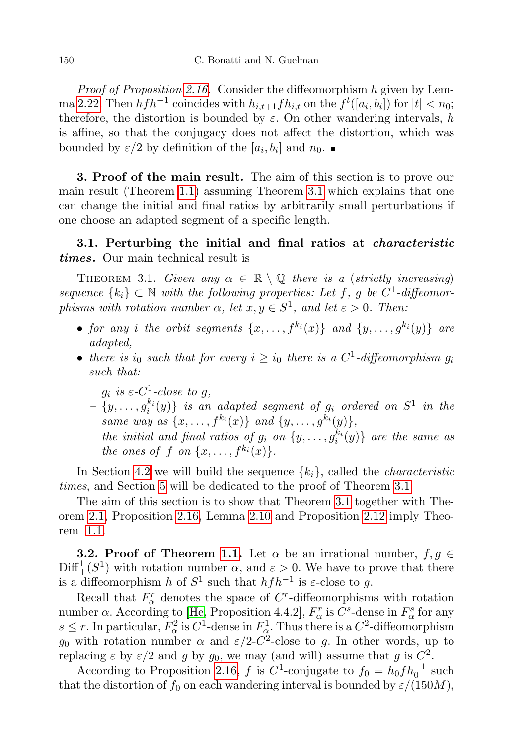Proof of Proposition [2.16.](#page-16-0) Consider the diffeomorphism h given by Lem-ma [2.22.](#page-19-1) Then  $h f h^{-1}$  coincides with  $h_{i,t+1} f h_{i,t}$  on the  $f^t([a_i, b_i])$  for  $|t| < n_0$ ; therefore, the distortion is bounded by  $\varepsilon$ . On other wandering intervals, h is affine, so that the conjugacy does not affect the distortion, which was bounded by  $\varepsilon/2$  by definition of the  $[a_i, b_i]$  and  $n_0$ .

<span id="page-21-0"></span>3. Proof of the main result. The aim of this section is to prove our main result (Theorem [1.1\)](#page-1-0) assuming Theorem [3.1](#page-21-1) which explains that one can change the initial and final ratios by arbitrarily small perturbations if one choose an adapted segment of a specific length.

## 3.1. Perturbing the initial and final ratios at *characteristic* times. Our main technical result is

<span id="page-21-1"></span>THEOREM 3.1. Given any  $\alpha \in \mathbb{R} \setminus \mathbb{Q}$  there is a (strictly increasing) sequence  $\{k_i\} \subset \mathbb{N}$  with the following properties: Let f, g be  $C^1$ -diffeomorphisms with rotation number  $\alpha$ , let  $x, y \in S^1$ , and let  $\varepsilon > 0$ . Then:

- for any i the orbit segments  $\{x, \ldots, f^{k_i}(x)\}\$ and  $\{y, \ldots, g^{k_i}(y)\}\$ are adapted,
- there is  $i_0$  such that for every  $i \geq i_0$  there is a  $C^1$ -diffeomorphism  $g_i$ such that:
	- $g_i$  is  $\varepsilon$ -C<sup>1</sup>-close to g,
	- $-\{y,\ldots,g_i^{k_i}(y)\}\;$  is an adapted segment of  $g_i$  ordered on  $S^1$  in the same way as  $\{x, \ldots, f^{k_i}(x)\}\$ and  $\{y, \ldots, g^{k_i}(y)\}\$ ,
	- the initial and final ratios of  $g_i$  on  $\{y, \ldots, g_i^{k_i}(y)\}$  are the same as the ones of f on  $\{x, \ldots, f^{k_i}(x)\}.$

In Section [4.2](#page-23-0) we will build the sequence  $\{k_i\}$ , called the *characteristic* times, and Section [5](#page-28-1) will be dedicated to the proof of Theorem [3.1.](#page-21-1)

The aim of this section is to show that Theorem [3.1](#page-21-1) together with Theorem [2.1,](#page-7-0) Proposition [2.16,](#page-16-0) Lemma [2.10](#page-8-0) and Proposition [2.12](#page-10-0) imply Theorem [1.1.](#page-1-0)

**3.2. Proof of Theorem [1.1.](#page-1-0)** Let  $\alpha$  be an irrational number,  $f, g \in$  $\text{Diff}^1_+(S^1)$  with rotation number  $\alpha$ , and  $\varepsilon > 0$ . We have to prove that there is a diffeomorphism h of  $S^1$  such that  $hfh^{-1}$  is  $\varepsilon$ -close to g.

Recall that  $F^r_\alpha$  denotes the space of C<sup>r</sup>-diffeomorphisms with rotation number  $\alpha$ . According to [\[He,](#page-32-1) Proposition 4.4.2],  $F_{\alpha}^r$  is  $C^s$ -dense in  $F_{\alpha}^s$  for any  $s \leq r$ . In particular,  $F^2_\alpha$  is  $C^1$ -dense in  $F^1_\alpha$ . Thus there is a  $C^2$ -diffeomorphism  $g_0$  with rotation number  $\alpha$  and  $\varepsilon/2$ -C<sup>2</sup>-close to g. In other words, up to replacing  $\varepsilon$  by  $\varepsilon/2$  and g by  $g_0$ , we may (and will) assume that g is  $C^2$ .

According to Proposition [2.16,](#page-16-0) f is  $C^1$ -conjugate to  $f_0 = h_0 f h_0^{-1}$  such that the distortion of  $f_0$  on each wandering interval is bounded by  $\varepsilon/(150M)$ ,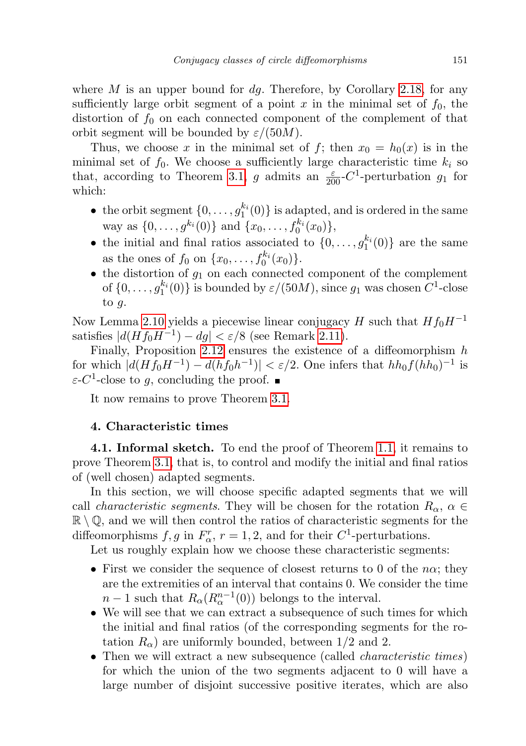where  $M$  is an upper bound for  $dq$ . Therefore, by Corollary [2.18,](#page-16-3) for any sufficiently large orbit segment of a point x in the minimal set of  $f_0$ , the distortion of  $f_0$  on each connected component of the complement of that orbit segment will be bounded by  $\varepsilon/(50M)$ .

Thus, we choose x in the minimal set of f; then  $x_0 = h_0(x)$  is in the minimal set of  $f_0$ . We choose a sufficiently large characteristic time  $k_i$  so that, according to Theorem [3.1,](#page-21-1) g admits an  $\frac{\varepsilon}{200}C^1$ -perturbation  $g_1$  for which:

- the orbit segment  $\{0, \ldots, g_1^{k_i}(0)\}$  is adapted, and is ordered in the same way as  $\{0, \ldots, g^{k_i}(0)\}\$  and  $\{x_0, \ldots, f_0^{k_i}(x_0)\},$
- the initial and final ratios associated to  $\{0, \ldots, g_1^{k_i}(0)\}\)$  are the same as the ones of  $f_0$  on  $\{x_0, \ldots, f_0^{k_i}(x_0)\}.$
- $\bullet$  the distortion of  $g_1$  on each connected component of the complement of  $\{0, \ldots, g_1^{k_i}(0)\}$  is bounded by  $\varepsilon/(50M)$ , since  $g_1$  was chosen  $C^1$ -close to  $q$ .

Now Lemma [2.10](#page-8-0) yields a piecewise linear conjugacy H such that  $Hf_0H^{-1}$ satisfies  $|d(Hf_0H^{-1}) - dg| < \varepsilon/8$  (see Remark [2.11\)](#page-10-1).

Finally, Proposition [2.12](#page-10-0) ensures the existence of a diffeomorphism  $h$ for which  $|d(Hf_0H^{-1}) - d(hf_0h^{-1})| < \varepsilon/2$ . One infers that  $hh_0f(hh_0)^{-1}$  is  $\varepsilon$ -C<sup>1</sup>-close to g, concluding the proof.

It now remains to prove Theorem [3.1.](#page-21-1)

## 4. Characteristic times

4.1. Informal sketch. To end the proof of Theorem [1.1,](#page-1-0) it remains to prove Theorem [3.1,](#page-21-1) that is, to control and modify the initial and final ratios of (well chosen) adapted segments.

In this section, we will choose specific adapted segments that we will call *characteristic segments*. They will be chosen for the rotation  $R_{\alpha}$ ,  $\alpha \in$  $\mathbb{R} \setminus \mathbb{Q}$ , and we will then control the ratios of characteristic segments for the diffeomorphisms  $f, g$  in  $F_{\alpha}^r$ ,  $r = 1, 2$ , and for their  $C^1$ -perturbations.

Let us roughly explain how we choose these characteristic segments:

- First we consider the sequence of closest returns to 0 of the  $n\alpha$ ; they are the extremities of an interval that contains 0. We consider the time  $n-1$  such that  $R_{\alpha}(R_{\alpha}^{n-1}(0))$  belongs to the interval.
- We will see that we can extract a subsequence of such times for which the initial and final ratios (of the corresponding segments for the rotation  $R_{\alpha}$ ) are uniformly bounded, between 1/2 and 2.
- Then we will extract a new subsequence (called *characteristic times*) for which the union of the two segments adjacent to 0 will have a large number of disjoint successive positive iterates, which are also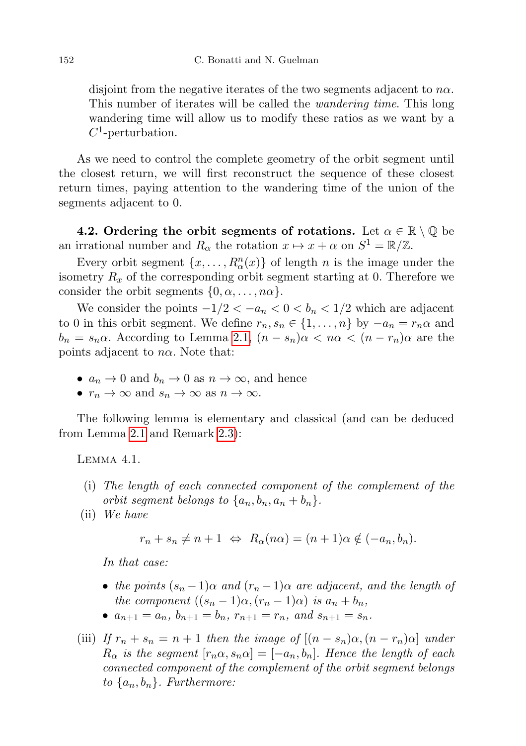disjoint from the negative iterates of the two segments adjacent to  $n\alpha$ . This number of iterates will be called the wandering time. This long wandering time will allow us to modify these ratios as we want by a  $C^1$ -perturbation.

As we need to control the complete geometry of the orbit segment until the closest return, we will first reconstruct the sequence of these closest return times, paying attention to the wandering time of the union of the segments adjacent to 0.

<span id="page-23-0"></span>4.2. Ordering the orbit segments of rotations. Let  $\alpha \in \mathbb{R} \setminus \mathbb{Q}$  be an irrational number and  $R_{\alpha}$  the rotation  $x \mapsto x + \alpha$  on  $S^1 = \mathbb{R}/\mathbb{Z}$ .

Every orbit segment  $\{x, \ldots, R^n_{\alpha}(x)\}\$  of length n is the image under the isometry  $R_x$  of the corresponding orbit segment starting at 0. Therefore we consider the orbit segments  $\{0, \alpha, \ldots, n\alpha\}.$ 

We consider the points  $-1/2 < -a_n < 0 < b_n < 1/2$  which are adjacent to 0 in this orbit segment. We define  $r_n, s_n \in \{1, \ldots, n\}$  by  $-a_n = r_n \alpha$  and  $b_n = s_n \alpha$ . According to Lemma [2.1,](#page-5-0)  $(n - s_n)\alpha < n\alpha < (n - r_n)\alpha$  are the points adjacent to  $n\alpha$ . Note that:

- $a_n \to 0$  and  $b_n \to 0$  as  $n \to \infty$ , and hence
- $r_n \to \infty$  and  $s_n \to \infty$  as  $n \to \infty$ .

The following lemma is elementary and classical (and can be deduced from Lemma [2.1](#page-5-0) and Remark [2.3\)](#page-6-2):

<span id="page-23-1"></span>Lemma 4.1.

- (i) The length of each connected component of the complement of the orbit segment belongs to  $\{a_n, b_n, a_n + b_n\}.$
- (ii) We have

$$
r_n + s_n \neq n + 1 \Leftrightarrow R_\alpha(n\alpha) = (n + 1)\alpha \notin (-a_n, b_n).
$$

In that case:

- the points  $(s_n 1)\alpha$  and  $(r_n 1)\alpha$  are adjacent, and the length of the component  $((s_n-1)\alpha, (r_n-1)\alpha)$  is  $a_n + b_n$ ,
- $a_{n+1} = a_n$ ,  $b_{n+1} = b_n$ ,  $r_{n+1} = r_n$ , and  $s_{n+1} = s_n$ .
- (iii) If  $r_n + s_n = n + 1$  then the image of  $[(n s_n)\alpha, (n r_n)\alpha]$  under  $R_{\alpha}$  is the segment  $[r_n\alpha, s_n\alpha] = [-a_n, b_n]$ . Hence the length of each connected component of the complement of the orbit segment belongs to  $\{a_n, b_n\}$ . Furthermore: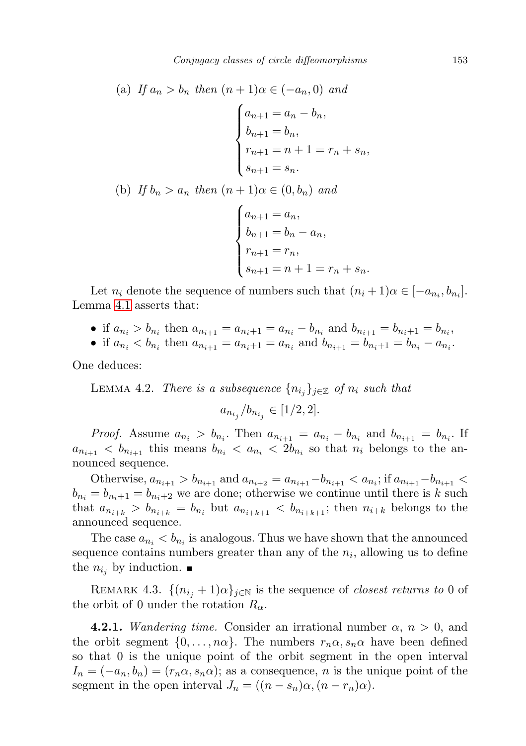(a) If 
$$
a_n > b_n
$$
 then  $(n + 1)\alpha \in (-a_n, 0)$  and  
\n
$$
\begin{cases}\na_{n+1} = a_n - b_n, \\
b_{n+1} = b_n, \\
r_{n+1} = n + 1 = r_n + s_n,\n\end{cases}
$$
\n(b) If  $b_n > a_n$  then  $(n + 1)\alpha \in (0, b_n)$  and  
\n
$$
\begin{cases}\na_{n+1} = a_n, \\
b_{n+1} = b_n - a_n, \\
r_{n+1} = r_n, \\
s_{n+1} = n + 1 = r_n + s_n.\n\end{cases}
$$

Let  $n_i$  denote the sequence of numbers such that  $(n_i + 1)\alpha \in [-a_{n_i}, b_{n_i}]$ . Lemma [4.1](#page-23-1) asserts that:

- if  $a_{n_i} > b_{n_i}$  then  $a_{n_{i+1}} = a_{n_i+1} = a_{n_i} b_{n_i}$  and  $b_{n_{i+1}} = b_{n_i+1} = b_{n_i}$ ,
- if  $a_{n_i} < b_{n_i}$  then  $a_{n_{i+1}} = a_{n_i+1} = a_{n_i}$  and  $b_{n_{i+1}} = b_{n_i+1} = b_{n_i} a_{n_i}$ .

<span id="page-24-0"></span>One deduces:

LEMMA 4.2. There is a subsequence  $\{n_{i_j}\}_{j\in\mathbb{Z}}$  of  $n_i$  such that

$$
a_{n_{i_j}}/b_{n_{i_j}} \in [1/2, 2].
$$

*Proof.* Assume  $a_{n_i} > b_{n_i}$ . Then  $a_{n_{i+1}} = a_{n_i} - b_{n_i}$  and  $b_{n_{i+1}} = b_{n_i}$ . If  $a_{n_{i+1}} < b_{n_{i+1}}$  this means  $b_{n_i} < a_{n_i} < 2b_{n_i}$  so that  $n_i$  belongs to the announced sequence.

Otherwise,  $a_{n_{i+1}} > b_{n_{i+1}}$  and  $a_{n_{i+2}} = a_{n_{i+1}} - b_{n_{i+1}} < a_{n_i}$ ; if  $a_{n_{i+1}} - b_{n_{i+1}} <$  $b_{n_i} = b_{n_i+1} = b_{n_i+2}$  we are done; otherwise we continue until there is k such that  $a_{n_{i+k}} > b_{n_{i+k}} = b_{n_i}$  but  $a_{n_{i+k+1}} < b_{n_{i+k+1}}$ ; then  $n_{i+k}$  belongs to the announced sequence.

The case  $a_{n_i} < b_{n_i}$  is analogous. Thus we have shown that the announced sequence contains numbers greater than any of the  $n_i$ , allowing us to define the  $n_{i_j}$  by induction.  $\blacksquare$ 

REMARK 4.3.  $\{(n_{i_j}+1)\alpha\}_{j\in\mathbb{N}}$  is the sequence of *closest returns to* 0 of the orbit of 0 under the rotation  $R_{\alpha}$ .

**4.2.1.** Wandering time. Consider an irrational number  $\alpha$ ,  $n > 0$ , and the orbit segment  $\{0, \ldots, n\alpha\}$ . The numbers  $r_n \alpha, s_n \alpha$  have been defined so that 0 is the unique point of the orbit segment in the open interval  $I_n = (-a_n, b_n) = (r_n \alpha, s_n \alpha);$  as a consequence, n is the unique point of the segment in the open interval  $J_n = ((n - s_n)\alpha, (n - r_n)\alpha)$ .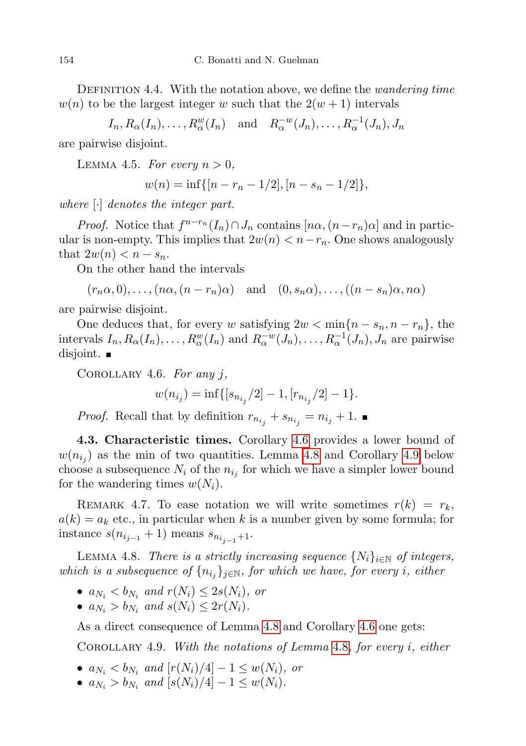DEFINITION 4.4. With the notation above, we define the *wandering time*  $w(n)$  to be the largest integer w such that the  $2(w+1)$  intervals

 $I_n, R_\alpha(I_n), \ldots, R_\alpha^w(I_n)$  and  $R_\alpha^{-w}(J_n), \ldots, R_\alpha^{-1}(J_n), J_n$ 

<span id="page-25-3"></span>are pairwise disjoint.

LEMMA 4.5. For every  $n > 0$ ,

$$
w(n) = \inf\{[n - r_n - 1/2], [n - s_n - 1/2]\},\
$$

where [·] denotes the integer part.

*Proof.* Notice that  $f^{n-r_n}(I_n) \cap J_n$  contains  $[n\alpha, (n-r_n)\alpha]$  and in particular is non-empty. This implies that  $2w(n) < n-r_n$ . One shows analogously that  $2w(n) < n - s_n$ .

On the other hand the intervals

$$
(r_n\alpha,0),..., (n\alpha,(n-r_n)\alpha)
$$
 and  $(0,s_n\alpha),..., ((n-s_n)\alpha,n\alpha)$ 

are pairwise disjoint.

One deduces that, for every w satisfying  $2w < \min\{n - s_n, n - r_n\}$ , the intervals  $I_n, R_\alpha(I_n), \ldots, R_\alpha^w(I_n)$  and  $R_\alpha^{-w}(J_n), \ldots, R_\alpha^{-1}(J_n), J_n$  are pairwise disjoint.  $\blacksquare$ 

<span id="page-25-0"></span>COROLLARY 4.6. For any  $j$ ,

$$
w(n_{i_j}) = \inf\{[s_{n_{i_j}}/2] - 1, [r_{n_{i_j}}/2] - 1\}.
$$

*Proof.* Recall that by definition  $r_{n_{i_j}} + s_{n_{i_j}} = n_{i_j} + 1$ .

4.3. Characteristic times. Corollary [4.6](#page-25-0) provides a lower bound of  $w(n_{i_j})$  as the min of two quantities. Lemma [4.8](#page-25-1) and Corollary [4.9](#page-25-2) below choose a subsequence  $N_i$  of the  $n_{i_j}$  for which we have a simpler lower bound for the wandering times  $w(N_i)$ .

REMARK 4.7. To ease notation we will write sometimes  $r(k) = r_k$ ,  $a(k) = a_k$  etc., in particular when k is a number given by some formula; for instance  $s(n_{i_{j-1}}+1)$  means  $s_{n_{i_{i-1}}+1}$ .

<span id="page-25-1"></span>LEMMA 4.8. There is a strictly increasing sequence  $\{N_i\}_{i\in\mathbb{N}}$  of integers, which is a subsequence of  $\{n_{i_j}\}_{j\in\mathbb{N}}$ , for which we have, for every i, either

- $a_{N_i} < b_{N_i}$  and  $r(N_i) \leq 2s(N_i)$ , or
- $a_{N_i} > b_{N_i}$  and  $s(N_i) \leq 2r(N_i)$ .

<span id="page-25-2"></span>As a direct consequence of Lemma [4.8](#page-25-1) and Corollary [4.6](#page-25-0) one gets:

COROLLARY 4.9. With the notations of Lemma [4.8](#page-25-1), for every i, either

- $a_{N_i} < b_{N_i}$  and  $[r(N_i)/4] 1 \le w(N_i)$ , or
- $a_{N_i} > b_{N_i}$  and  $[s(N_i)/4] 1 \le w(N_i)$ .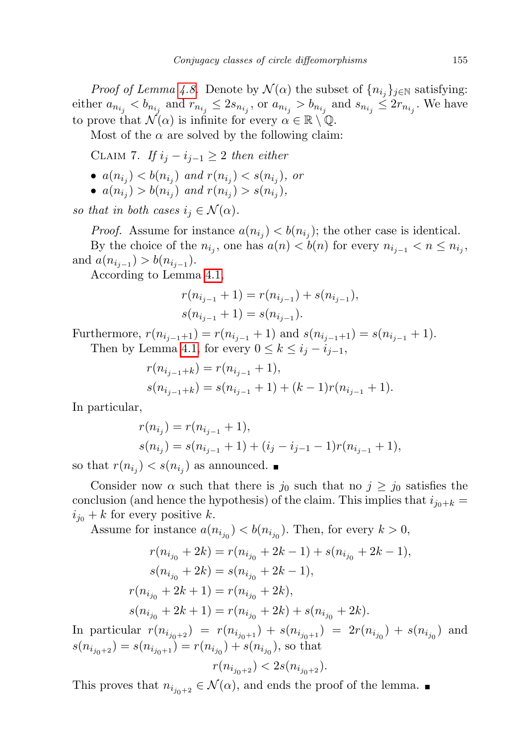*Proof of Lemma [4.8.](#page-25-1)* Denote by  $\mathcal{N}(\alpha)$  the subset of  $\{n_{i_j}\}_{j\in\mathbb{N}}$  satisfying: either  $a_{n_{i_j}} < b_{n_{i_j}}$  and  $r_{n_{i_j}} \leq 2s_{n_{i_j}}$ , or  $a_{n_{i_j}} > b_{n_{i_j}}$  and  $s_{n_{i_j}} \leq 2r_{n_{i_j}}$ . We have to prove that  $\mathcal{N}(\alpha)$  is infinite for every  $\alpha \in \mathbb{R} \setminus \mathbb{Q}$ .

Most of the  $\alpha$  are solved by the following claim:

CLAIM 7. If  $i_j - i_{j-1} \geq 2$  then either

- $a(n_{i_j}) < b(n_{i_j})$  and  $r(n_{i_j}) < s(n_{i_j})$ , or
- $a(n_{i_j}) > b(n_{i_j})$  and  $r(n_{i_j}) > s(n_{i_j}),$

so that in both cases  $i_j \in \mathcal{N}(\alpha)$ .

*Proof.* Assume for instance  $a(n_{i_j}) < b(n_{i_j})$ ; the other case is identical. By the choice of the  $n_{i_j}$ , one has  $a(n) < b(n)$  for every  $n_{i_{j-1}} < n \leq n_{i_j}$ , and  $a(n_{i_{j-1}}) > b(n_{i_{j-1}})$ .

According to Lemma [4.1,](#page-23-1)

$$
r(n_{i_{j-1}} + 1) = r(n_{i_{j-1}}) + s(n_{i_{j-1}}),
$$
  

$$
s(n_{i_{j-1}} + 1) = s(n_{i_{j-1}}).
$$

Furthermore,  $r(n_{i_{j-1}+1}) = r(n_{i_{j-1}}+1)$  and  $s(n_{i_{j-1}+1}) = s(n_{i_{j-1}}+1)$ . Then by Lemma [4.1,](#page-23-1) for every  $0 \leq k \leq i_j - i_{j-1}$ ,

$$
r(n_{i_{j-1}+k}) = r(n_{i_{j-1}} + 1),
$$
  
\n
$$
s(n_{i_{j-1}+k}) = s(n_{i_{j-1}} + 1) + (k-1)r(n_{i_{j-1}} + 1).
$$

In particular,

$$
r(n_{i_j}) = r(n_{i_{j-1}} + 1),
$$
  
\n
$$
s(n_{i_j}) = s(n_{i_{j-1}} + 1) + (i_j - i_{j-1} - 1)r(n_{i_{j-1}} + 1),
$$

so that  $r(n_{i_j}) < s(n_{i_j})$  as announced.

Consider now  $\alpha$  such that there is  $j_0$  such that no  $j \geq j_0$  satisfies the conclusion (and hence the hypothesis) of the claim. This implies that  $i_{j_0+k}$  =  $i_{j_0} + k$  for every positive k.

Assume for instance  $a(n_{i_{j_0}}) < b(n_{i_{j_0}})$ . Then, for every  $k > 0$ ,

$$
\begin{aligned} r(n_{i_{j_0}}+2k)&=r(n_{i_{j_0}}+2k-1)+s(n_{i_{j_0}}+2k-1),\\ s(n_{i_{j_0}}+2k)&=s(n_{i_{j_0}}+2k-1),\\ r(n_{i_{j_0}}+2k+1)&=r(n_{i_{j_0}}+2k),\\ s(n_{i_{j_0}}+2k+1)&=r(n_{i_{j_0}}+2k)+s(n_{i_{j_0}}+2k). \end{aligned}
$$

In particular  $r(n_{i_{j_0+2}}) = r(n_{i_{j_0+1}}) + s(n_{i_{j_0+1}}) = 2r(n_{i_{j_0}}) + s(n_{i_{j_0}})$  and  $s(n_{i_{j_0+2}}) = s(n_{i_{j_0+1}}) = r(n_{i_{j_0}}) + s(n_{i_{j_0}})$ , so that

$$
r(n_{i_{j_0+2}}) < 2s(n_{i_{j_0+2}}).
$$

This proves that  $n_{i_{i_0+2}} \in \mathcal{N}(\alpha)$ , and ends the proof of the lemma.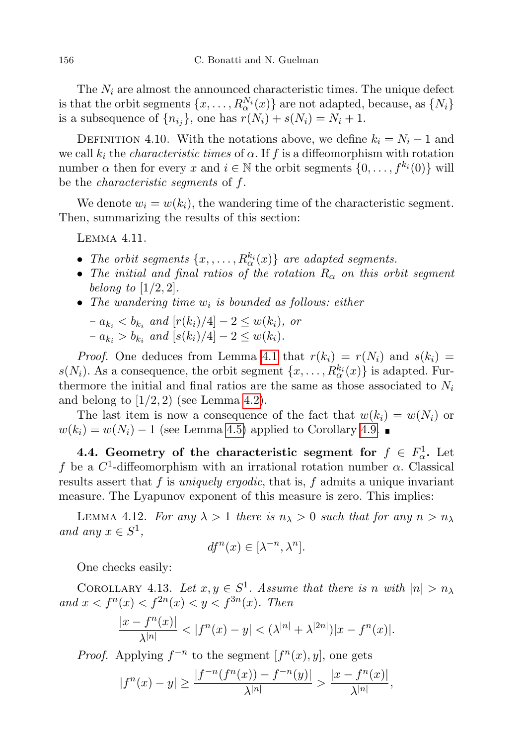The  $N_i$  are almost the announced characteristic times. The unique defect is that the orbit segments  $\{x, \ldots, R_\alpha^{N_i}(x)\}$  are not adapted, because, as  $\{N_i\}$ is a subsequence of  $\{n_{i_j}\}\$ , one has  $r(N_i) + s(N_i) = N_i + 1$ .

<span id="page-27-0"></span>DEFINITION 4.10. With the notations above, we define  $k_i = N_i - 1$  and we call  $k_i$  the *characteristic times* of  $\alpha$ . If f is a diffeomorphism with rotation number  $\alpha$  then for every  $x$  and  $i \in \mathbb{N}$  the orbit segments  $\{0, \ldots, f^{k_i}(0)\}\$  will be the characteristic segments of f.

We denote  $w_i = w(k_i)$ , the wandering time of the characteristic segment. Then, summarizing the results of this section:

<span id="page-27-1"></span>Lemma 4.11.

- The orbit segments  $\{x, \ldots, R_\alpha^{k_i}(x)\}$  are adapted segments.
- The initial and final ratios of the rotation  $R_{\alpha}$  on this orbit segment belong to  $[1/2, 2]$ .
- The wandering time  $w_i$  is bounded as follows: either
	- $-a_{k_i} < b_{k_i}$  and  $[r(k_i)/4] 2 \le w(k_i)$ , or  $-a_{k_i} > b_{k_i}$  and  $[s(k_i)/4] - 2 \leq w(k_i)$ .

*Proof.* One deduces from Lemma [4.1](#page-23-1) that  $r(k_i) = r(N_i)$  and  $s(k_i) =$  $s(N_i)$ . As a consequence, the orbit segment  $\{x, \ldots, R_{\alpha}^{k_i}(x)\}\)$  is adapted. Furthermore the initial and final ratios are the same as those associated to  $N_i$ and belong to  $(1/2, 2)$  (see Lemma [4.2\)](#page-24-0).

The last item is now a consequence of the fact that  $w(k_i) = w(N_i)$  or  $w(k_i) = w(N_i) - 1$  (see Lemma [4.5\)](#page-25-3) applied to Corollary [4.9.](#page-25-2)

4.4. Geometry of the characteristic segment for  $f \in F^1_\alpha$ . Let f be a  $C^1$ -diffeomorphism with an irrational rotation number  $\alpha$ . Classical results assert that f is *uniquely ergodic*, that is, f admits a unique invariant measure. The Lyapunov exponent of this measure is zero. This implies:

LEMMA 4.12. For any  $\lambda > 1$  there is  $n_{\lambda} > 0$  such that for any  $n > n_{\lambda}$ and any  $x \in S^1$ ,

$$
df^n(x) \in [\lambda^{-n}, \lambda^n].
$$

One checks easily:

<span id="page-27-2"></span>COROLLARY 4.13. Let  $x, y \in S^1$ . Assume that there is n with  $|n| > n_\lambda$ and  $x < f^{n}(x) < f^{2n}(x) < y < f^{3n}(x)$ . Then

$$
\frac{|x - f^n(x)|}{\lambda^{|n|}} < |f^n(x) - y| < (\lambda^{|n|} + \lambda^{|2n|}) |x - f^n(x)|.
$$

*Proof.* Applying  $f^{-n}$  to the segment  $[f^{n}(x), y]$ , one gets

$$
|f^n(x)-y|\geq \frac{|f^{-n}(f^n(x))-f^{-n}(y)|}{\lambda^{|n|}}>\frac{|x-f^n(x)|}{\lambda^{|n|}},
$$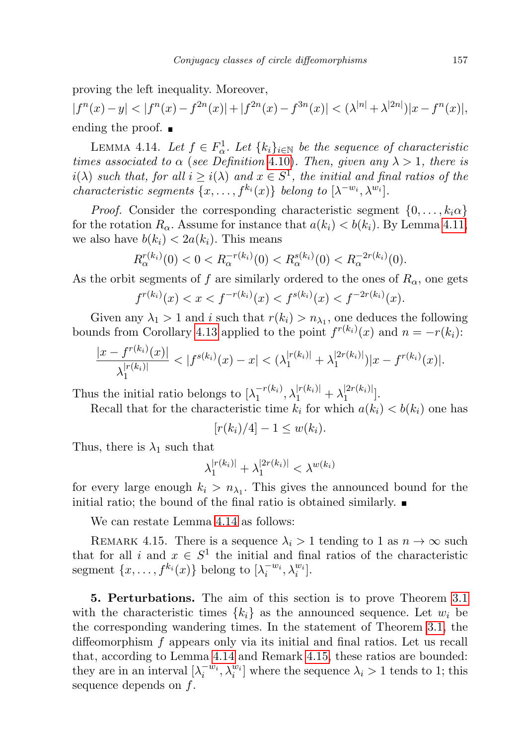proving the left inequality. Moreover,

 $|f^{n}(x)-y|<|f^{n}(x)-f^{2n}(x)|+|f^{2n}(x)-f^{3n}(x)|<(\lambda^{|n|}+\lambda^{|2n|})|x-f^{n}(x)|,$ ending the proof.  $\blacksquare$ 

<span id="page-28-0"></span>LEMMA 4.14. Let  $f \in F^1_\alpha$ . Let  $\{k_i\}_{i \in \mathbb{N}}$  be the sequence of characteristic times associated to  $\alpha$  (see Definition 4.[10\)](#page-27-0). Then, given any  $\lambda > 1$ , there is  $i(\lambda)$  such that, for all  $i \geq i(\lambda)$  and  $x \in S^1$ , the initial and final ratios of the *characteristic segments*  $\{x, \ldots, f^{k_i}(x)\}\$  *belong to*  $[\lambda^{-w_i}, \lambda^{w_i}]\$ .

*Proof.* Consider the corresponding characteristic segment  $\{0, \ldots, k_i \alpha\}$ for the rotation  $R_{\alpha}$ . Assume for instance that  $a(k_i) < b(k_i)$ . By Lemma [4.11,](#page-27-1) we also have  $b(k_i) < 2a(k_i)$ . This means

$$
R_{\alpha}^{r(k_i)}(0) < 0 < R_{\alpha}^{-r(k_i)}(0) < R_{\alpha}^{s(k_i)}(0) < R_{\alpha}^{-2r(k_i)}(0).
$$

As the orbit segments of f are similarly ordered to the ones of  $R_{\alpha}$ , one gets

$$
f^{r(k_i)}(x) < x < f^{-r(k_i)}(x) < f^{s(k_i)}(x) < f^{-2r(k_i)}(x).
$$

Given any  $\lambda_1 > 1$  and i such that  $r(k_i) > n_{\lambda_1}$ , one deduces the following bounds from Corollary [4.13](#page-27-2) applied to the point  $f^{r(k_i)}(x)$  and  $n = -r(k_i)$ :

$$
\frac{|x - f^{r(k_i)}(x)|}{\lambda_1^{|r(k_i)|}} < |f^{s(k_i)}(x) - x| < (\lambda_1^{|r(k_i)|} + \lambda_1^{|2r(k_i)|}) |x - f^{r(k_i)}(x)|.
$$

Thus the initial ratio belongs to  $\lambda_1^{-r(k_i)}$  $\lambda_1^{|r(k_i)|}$ ,  $\lambda_1^{|r(k_i)|} + \lambda_1^{|2r(k_i)|}$  $\binom{[2T(K_i)]}{1}$ .

Recall that for the characteristic time  $k_i$  for which  $a(k_i) < b(k_i)$  one has

$$
[r(k_i)/4]-1\leq w(k_i).
$$

Thus, there is  $\lambda_1$  such that

$$
\lambda_1^{|r(k_i)|} + \lambda_1^{|2r(k_i)|} < \lambda^{w(k_i)}
$$

for every large enough  $k_i > n_{\lambda_1}$ . This gives the announced bound for the initial ratio; the bound of the final ratio is obtained similarly.  $\blacksquare$ 

We can restate Lemma [4.14](#page-28-0) as follows:

<span id="page-28-2"></span>REMARK 4.15. There is a sequence  $\lambda_i > 1$  tending to 1 as  $n \to \infty$  such that for all i and  $x \in S^1$  the initial and final ratios of the characteristic segment  $\{x, \ldots, f^{k_i}(x)\}\)$  belong to  $[\lambda_i^{-w_i}, \lambda_i^{w_i}].$ 

<span id="page-28-1"></span>5. Perturbations. The aim of this section is to prove Theorem [3.1](#page-21-1) with the characteristic times  ${k_i}$  as the announced sequence. Let  $w_i$  be the corresponding wandering times. In the statement of Theorem [3.1,](#page-21-1) the diffeomorphism f appears only via its initial and final ratios. Let us recall that, according to Lemma [4.14](#page-28-0) and Remark [4.15,](#page-28-2) these ratios are bounded: they are in an interval  $[\lambda_i^{-w_i}, \lambda_i^{w_i}]$  where the sequence  $\lambda_i > 1$  tends to 1; this sequence depends on f.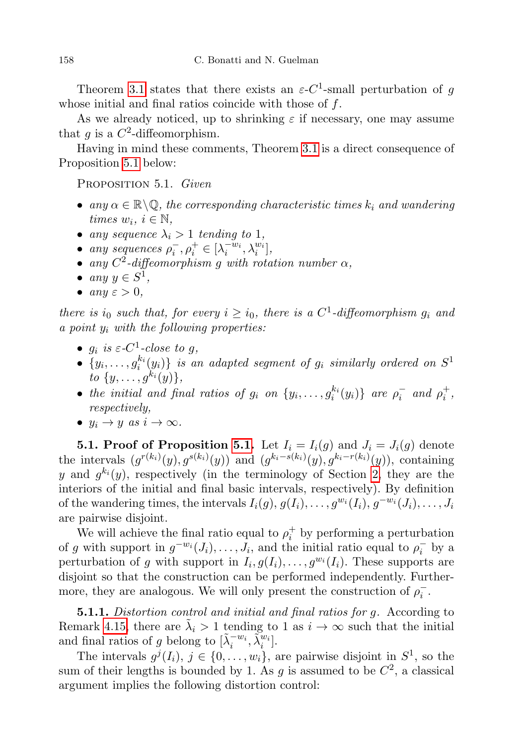Theorem [3.1](#page-21-1) states that there exists an  $\varepsilon$ -C<sup>1</sup>-small perturbation of g whose initial and final ratios coincide with those of f.

As we already noticed, up to shrinking  $\varepsilon$  if necessary, one may assume that g is a  $C^2$ -diffeomorphism.

Having in mind these comments, Theorem [3.1](#page-21-1) is a direct consequence of Proposition [5.1](#page-29-0) below:

<span id="page-29-0"></span>PROPOSITION 5.1. Given

- any  $\alpha \in \mathbb{R} \backslash \mathbb{Q}$ , the corresponding characteristic times  $k_i$  and wandering times  $w_i, i \in \mathbb{N}$ ,
- any sequence  $\lambda_i > 1$  tending to 1,
- any sequences  $\rho_i^-, \rho_i^+ \in [\lambda_i^{-w_i}, \lambda_i^{w_i}],$
- any  $C^2$ -diffeomorphism g with rotation number  $\alpha$ ,
- any  $y \in S^1$ ,
- any  $\varepsilon > 0$ ,

there is  $i_0$  such that, for every  $i \geq i_0$ , there is a  $C^1$ -diffeomorphism  $g_i$  and a point  $y_i$  with the following properties:

- $g_i$  is  $\varepsilon$ -C<sup>1</sup>-close to g,
- $\bullet$   $\{y_i, \ldots, g_i^{k_i}(y_i)\}$  is an adapted segment of  $g_i$  similarly ordered on  $S^1$ to  $\{y, \ldots, g^{k_i}(y)\},\$
- the initial and final ratios of  $g_i$  on  $\{y_i, \ldots, g_i^{k_i}(y_i)\}$  are  $\rho_i^-$  and  $\rho_i^+$ , respectively,
- $y_i \rightarrow y$  as  $i \rightarrow \infty$ .

**5.1. Proof of Proposition [5.1.](#page-29-0)** Let  $I_i = I_i(g)$  and  $J_i = J_i(g)$  denote the intervals  $(g^{r(k_i)}(y), g^{s(k_i)}(y))$  and  $(g^{k_i-s(k_i)}(y), g^{k_i-r(k_i)}(y))$ , containing y and  $g^{k_i}(y)$ , respectively (in the terminology of Section [2,](#page-4-0) they are the interiors of the initial and final basic intervals, respectively). By definition of the wandering times, the intervals  $I_i(g), g(I_i), \ldots, g^{w_i}(I_i), g^{-w_i}(J_i), \ldots, J_i$ are pairwise disjoint.

We will achieve the final ratio equal to  $\rho_i^+$  by performing a perturbation of g with support in  $g^{-w_i}(J_i), \ldots, J_i$ , and the initial ratio equal to  $\rho_i^-$  by a perturbation of g with support in  $I_i$ ,  $g(I_i)$ , ...,  $g^{w_i}(I_i)$ . These supports are disjoint so that the construction can be performed independently. Furthermore, they are analogous. We will only present the construction of  $\rho_i^-$ .

5.1.1. Distortion control and initial and final ratios for g. According to Remark [4.15,](#page-28-2) there are  $\tilde{\lambda}_i > 1$  tending to 1 as  $i \to \infty$  such that the initial and final ratios of g belong to  $[\tilde{\lambda}_i^{-w_i}, \tilde{\lambda}_i^{w_i}].$ 

The intervals  $g^{j}(I_i)$ ,  $j \in \{0, \ldots, w_i\}$ , are pairwise disjoint in  $S^1$ , so the sum of their lengths is bounded by 1. As g is assumed to be  $C^2$ , a classical argument implies the following distortion control: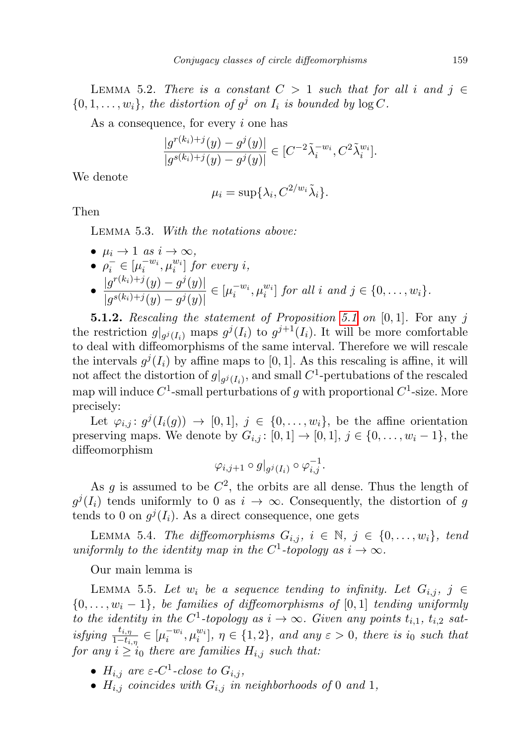LEMMA 5.2. There is a constant  $C > 1$  such that for all i and  $j \in$  $\{0, 1, \ldots, w_i\},\$  the distortion of  $g^j$  on  $I_i$  is bounded by  $\log C$ .

As a consequence, for every i one has

$$
\frac{|g^{r(k_i)+j}(y) - g^j(y)|}{|g^{s(k_i)+j}(y) - g^j(y)|} \in [C^{-2} \tilde{\lambda}_i^{-w_i}, C^2 \tilde{\lambda}_i^{w_i}].
$$

We denote

$$
\mu_i = \sup \{ \lambda_i, C^{2/w_i} \tilde{\lambda}_i \}.
$$

Then

Lemma 5.3. With the notations above:

•  $\mu_i \to 1$  as  $i \to \infty$ , •  $\rho_i^- \in [\mu_i^{-w_i}, \mu_i^{w_i}]$  for every i,  $\bullet$   $\frac{|g^{r(k_i)+j}(y)-g^j(y)|}{\frac{|g^{(k_i)}(x)-g^j(y)|}{\frac{|g^{(k_i)}(x)-g^j(y)|}{\frac{|g^{(k_i)}(x)-g^j(y)|}{\frac{|g^{(k_i)}(x)-g^j(y)|}{\frac{|g^{(k_i)}(x)-g^j(y)|}{\frac{|g^{(k_i)}(x)-g^j(y)|}{\frac{|g^{(k_i)}(x)-g^j(y)|}{\frac{|g^{(k_i)}(x)-g^j(y)|}{\frac{|g^{(k_i)}(x)-g^j(y)|}{\frac{|g^{(k_i)}(x)-g^j(y)|}{\frac{|g^{(k_i)}(x)-g^j(y$  $\frac{|g^{(n)}(y)-g'(y)|}{|g^{s(k_i)+j}(y)-g^j(y)|} \in [\mu_i^{-w_i}, \mu_i^{w_i}]$  for all i and  $j \in \{0, \ldots, w_i\}.$ 

**5.1.2.** Rescaling the statement of Proposition [5.1](#page-29-0) on  $[0, 1]$ . For any j the restriction  $g|_{g^j(I_i)}$  maps  $g^j(I_i)$  to  $g^{j+1}(I_i)$ . It will be more comfortable to deal with diffeomorphisms of the same interval. Therefore we will rescale the intervals  $g^{j}(I_{i})$  by affine maps to [0, 1]. As this rescaling is affine, it will not affect the distortion of  $g|_{g^j(I_i)}$ , and small  $C^1$ -pertubations of the rescaled map will induce  $C^1$ -small perturbations of g with proportional  $C^1$ -size. More precisely:

Let  $\varphi_{i,j} : g^j(I_i(g)) \to [0,1], j \in \{0,\ldots,w_i\},\$ be the affine orientation preserving maps. We denote by  $G_{i,j}: [0,1] \to [0,1], j \in \{0,\ldots,w_i-1\}$ , the diffeomorphism

$$
\varphi_{i,j+1}\circ g|_{g^j(I_i)}\circ \varphi_{i,j}^{-1}.
$$

As g is assumed to be  $C^2$ , the orbits are all dense. Thus the length of  $g^{j}(I_{i})$  tends uniformly to 0 as  $i \rightarrow \infty$ . Consequently, the distortion of g tends to 0 on  $g^{j}(I_i)$ . As a direct consequence, one gets

LEMMA 5.4. The diffeomorphisms  $G_{i,j}$ ,  $i \in \mathbb{N}$ ,  $j \in \{0, \ldots, w_i\}$ , tend uniformly to the identity map in the C<sup>1</sup>-topology as  $i \to \infty$ .

Our main lemma is

<span id="page-30-0"></span>LEMMA 5.5. Let  $w_i$  be a sequence tending to infinity. Let  $G_{i,j}$ ,  $j \in$  ${0, \ldots, w_i-1}$ , be families of diffeomorphisms of [0, 1] tending uniformly to the identity in the C<sup>1</sup>-topology as  $i \to \infty$ . Given any points  $t_{i,1}$ ,  $t_{i,2}$  satisfying  $\frac{t_{i,\eta}}{1-t_{i,\eta}} \in [\mu_i^{-w_i}, \mu_i^{w_i}], \eta \in \{1,2\}$ , and any  $\varepsilon > 0$ , there is i<sub>0</sub> such that for any  $i \geq i_0$  there are families  $H_{i,j}$  such that:

- $H_{i,j}$  are  $\varepsilon$ -C<sup>1</sup>-close to  $G_{i,j}$ ,
- $H_{i,j}$  coincides with  $G_{i,j}$  in neighborhoods of 0 and 1,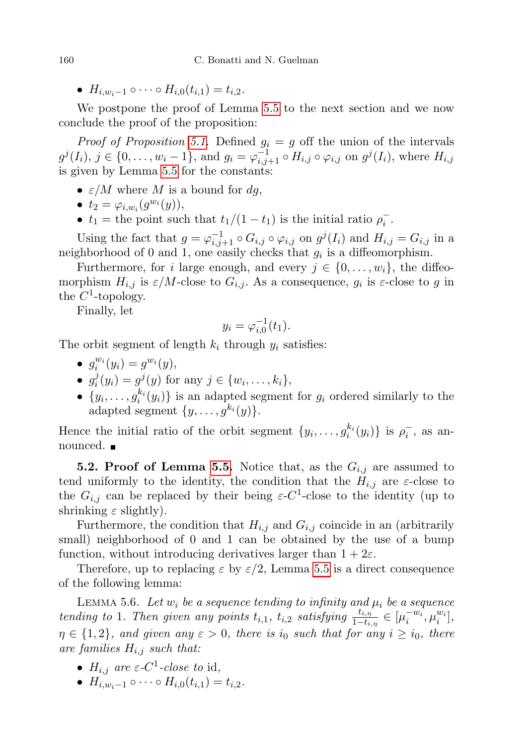•  $H_{i,w_i-1} \circ \cdots \circ H_{i,0}(t_{i,1}) = t_{i,2}$ .

We postpone the proof of Lemma [5.5](#page-30-0) to the next section and we now conclude the proof of the proposition:

*Proof of Proposition [5.1.](#page-29-0)* Defined  $g_i = g$  off the union of the intervals  $g^{j}(I_i)$ ,  $j \in \{0, ..., w_i - 1\}$ , and  $g_i = \varphi_{i,j+1}^{-1} \circ H_{i,j} \circ \varphi_{i,j}$  on  $g^{j}(I_i)$ , where  $H_{i,j}$ is given by Lemma [5.5](#page-30-0) for the constants:

- $\varepsilon/M$  where M is a bound for dg.
- $t_2 = \varphi_{i,w_i}(g^{w_i}(y)),$
- $t_1$  = the point such that  $t_1/(1-t_1)$  is the initial ratio  $\rho_i^-$ .

Using the fact that  $g = \varphi_{i,j+1}^{-1} \circ G_{i,j} \circ \varphi_{i,j}$  on  $g^j(I_i)$  and  $H_{i,j} = G_{i,j}$  in a neighborhood of 0 and 1, one easily checks that  $g_i$  is a diffeomorphism.

Furthermore, for i large enough, and every  $j \in \{0, \ldots, w_i\}$ , the diffeomorphism  $H_{i,j}$  is  $\varepsilon/M$ -close to  $G_{i,j}$ . As a consequence,  $g_i$  is  $\varepsilon$ -close to  $g$  in the  $C^1$ -topology.

Finally, let

$$
y_i = \varphi_{i,0}^{-1}(t_1).
$$

The orbit segment of length  $k_i$  through  $y_i$  satisfies:

- $g_i^{w_i}(y_i) = g^{w_i}(y),$
- $\bullet$   $g_i^j$  $i^j(y_i) = g^j(y)$  for any  $j \in \{w_i, \dots, k_i\},\$
- $\{y_i, \ldots, g_i^{k_i}(y_i)\}\$ is an adapted segment for  $g_i$  ordered similarly to the adapted segment  $\{y, \ldots, g^{k_i}(y)\}.$

Hence the initial ratio of the orbit segment  $\{y_i, \ldots, g_i^{k_i}(y_i)\}$  is  $\rho_i^-$ , as announced. ■

**5.2. Proof of Lemma [5.5.](#page-30-0)** Notice that, as the  $G_{i,j}$  are assumed to tend uniformly to the identity, the condition that the  $H_{i,j}$  are  $\varepsilon$ -close to the  $G_{i,j}$  can be replaced by their being  $\varepsilon$ -C<sup>1</sup>-close to the identity (up to shrinking  $\varepsilon$  slightly).

Furthermore, the condition that  $H_{i,j}$  and  $G_{i,j}$  coincide in an (arbitrarily small) neighborhood of 0 and 1 can be obtained by the use of a bump function, without introducing derivatives larger than  $1 + 2\varepsilon$ .

Therefore, up to replacing  $\varepsilon$  by  $\varepsilon/2$ , Lemma [5.5](#page-30-0) is a direct consequence of the following lemma:

<span id="page-31-0"></span>LEMMA 5.6. Let  $w_i$  be a sequence tending to infinity and  $\mu_i$  be a sequence tending to 1. Then given any points  $t_{i,1}$ ,  $t_{i,2}$  satisfying  $\frac{t_{i,\eta}}{1-t_{i,\eta}} \in [\mu_i^{-w_i}, \mu_i^{w_i}],$  $\eta \in \{1,2\}$ , and given any  $\varepsilon > 0$ , there is  $i_0$  such that for any  $i \geq i_0$ , there are families  $H_{i,j}$  such that:

- $H_{i,j}$  are  $\varepsilon$ -C<sup>1</sup>-close to id,
- $H_{i,w_i-1} \circ \cdots \circ H_{i,0}(t_{i,1}) = t_{i,2}$ .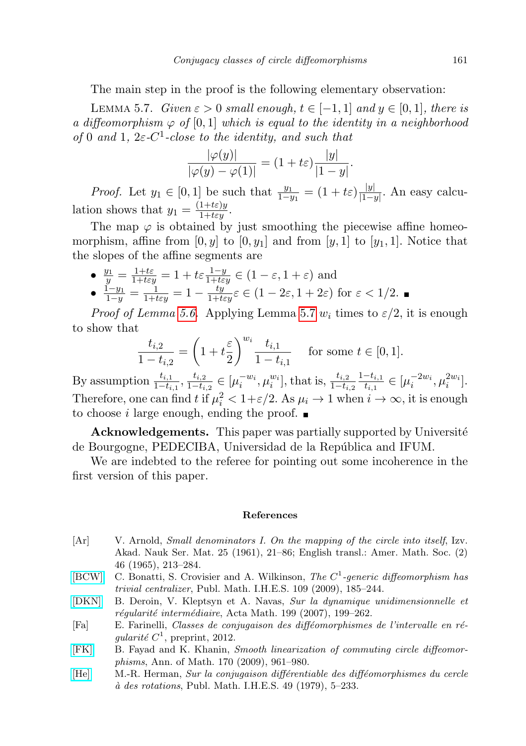The main step in the proof is the following elementary observation:

<span id="page-32-6"></span>LEMMA 5.7. Given  $\varepsilon > 0$  small enough,  $t \in [-1, 1]$  and  $y \in [0, 1]$ , there is a diffeomorphism  $\varphi$  of [0,1] which is equal to the identity in a neighborhood of 0 and 1,  $2\varepsilon$ -C<sup>1</sup>-close to the identity, and such that

$$
\frac{|\varphi(y)|}{|\varphi(y) - \varphi(1)|} = (1 + t\varepsilon) \frac{|y|}{|1 - y|}.
$$

*Proof.* Let  $y_1 \in [0,1]$  be such that  $\frac{y_1}{1-y_1} = (1+t\varepsilon)\frac{|y|}{|1-y_1|}$  $\frac{|y|}{|1-y|}$ . An easy calculation shows that  $y_1 = \frac{(1+t\varepsilon)y}{1+t\varepsilon y}$ .

The map  $\varphi$  is obtained by just smoothing the piecewise affine homeomorphism, affine from  $[0, y]$  to  $[0, y_1]$  and from  $[y, 1]$  to  $[y_1, 1]$ . Notice that the slopes of the affine segments are

\n- \n
$$
\frac{y_1}{y} = \frac{1+t\varepsilon}{1+ t\varepsilon y} = 1 + t\varepsilon \frac{1-y}{1+ t\varepsilon y} \in (1-\varepsilon, 1+\varepsilon)
$$
 and\n
\n- \n $\frac{1-y_1}{1-y} = \frac{1}{1+ t\varepsilon y} = 1 - \frac{ty}{1+ t\varepsilon y} \varepsilon \in (1-2\varepsilon, 1+2\varepsilon)$  for  $\varepsilon < 1/2$ . \n
\n

*Proof of Lemma [5.6.](#page-31-0)* Applying Lemma [5.7](#page-32-6)  $w_i$  times to  $\varepsilon/2$ , it is enough to show that

$$
\frac{t_{i,2}}{1-t_{i,2}} = \left(1 + t\frac{\varepsilon}{2}\right)^{w_i} \frac{t_{i,1}}{1-t_{i,1}} \quad \text{ for some } t \in [0,1].
$$

By assumption  $\frac{t_{i,1}}{1-t_{i,1}}, \frac{t_{i,2}}{1-t_i}$  $\frac{t_{i,2}}{1-t_{i,2}} \in [\mu_i^{-w_i}, \mu_i^{w_i}],$  that is,  $\frac{t_{i,2}}{1-t_{i,2}}$  $1-t_{i,1}$  $\frac{-t_{i,1}}{t_{i,1}} \in [\mu_i^{-2w_i}, \mu_i^{2w_i}].$ Therefore, one can find t if  $\mu_i^2 < 1 + \varepsilon/2$ . As  $\mu_i \to 1$  when  $i \to \infty$ , it is enough to choose i large enough, ending the proof.  $\blacksquare$ 

Acknowledgements. This paper was partially supported by Université de Bourgogne, PEDECIBA, Universidad de la República and IFUM.

We are indebted to the referee for pointing out some incoherence in the first version of this paper.

#### References

- <span id="page-32-0"></span>[Ar] V. Arnold, Small denominators I. On the mapping of the circle into itself, Izv. Akad. Nauk Ser. Mat. 25 (1961), 21–86; English transl.: Amer. Math. Soc. (2) 46 (1965), 213–284.
- <span id="page-32-2"></span>[\[BCW\]](http://dx.doi.org/10.1007/s10240-009-0021-z) C. Bonatti, S. Crovisier and A. Wilkinson, The  $C<sup>1</sup>$ -generic diffeomorphism has trivial centralizer, Publ. Math. I.H.E.S. 109 (2009), 185–244.
- <span id="page-32-4"></span>[\[DKN\]](http://dx.doi.org/10.1007/s11511-007-0020-1) B. Deroin, V. Kleptsyn et A. Navas, Sur la dynamique unidimensionnelle et  $r$ égularité intermédiaire, Acta Math. 199 (2007), 199–262.
- <span id="page-32-3"></span>[Fa] E. Farinelli, Classes de conjugaison des difféomorphismes de l'intervalle en régularité  $C^1$ , preprint, 2012.
- <span id="page-32-5"></span>[\[FK\]](http://dx.doi.org/10.4007/annals.2009.170.961) B. Fayad and K. Khanin, Smooth linearization of commuting circle diffeomorphisms, Ann. of Math. 170 (2009), 961–980.
- <span id="page-32-1"></span>[\[He\]](http://dx.doi.org/10.1007/BF02684798) M.-R. Herman, Sur la conjugaison différentiable des difféomorphismes du cercle  $\dot{a}$  des rotations, Publ. Math. I.H.E.S. 49 (1979), 5–233.